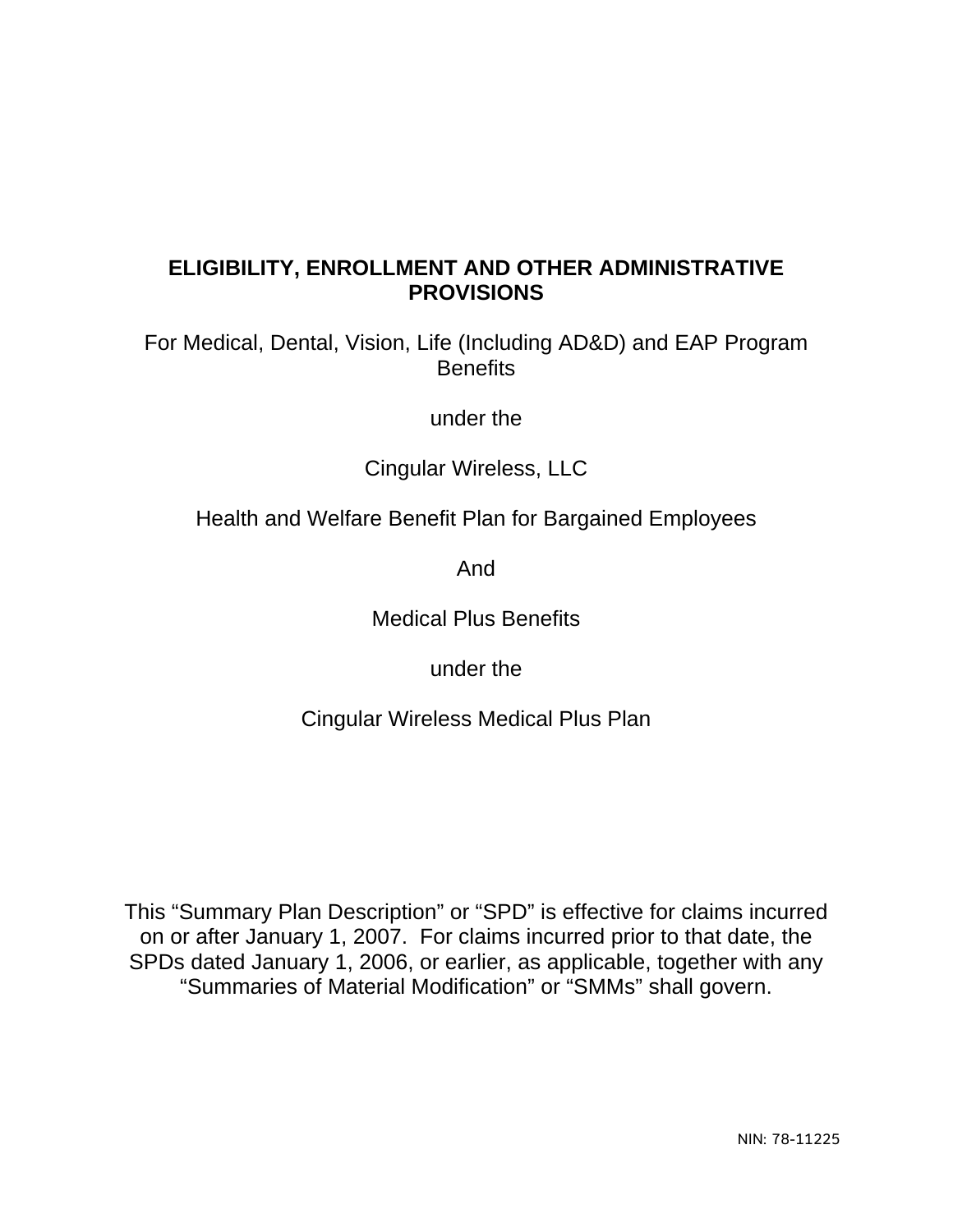### **ELIGIBILITY, ENROLLMENT AND OTHER ADMINISTRATIVE PROVISIONS**

For Medical, Dental, Vision, Life (Including AD&D) and EAP Program **Benefits** 

under the

Cingular Wireless, LLC

Health and Welfare Benefit Plan for Bargained Employees

And

Medical Plus Benefits

under the

Cingular Wireless Medical Plus Plan

This "Summary Plan Description" or "SPD" is effective for claims incurred on or after January 1, 2007. For claims incurred prior to that date, the SPDs dated January 1, 2006, or earlier, as applicable, together with any "Summaries of Material Modification" or "SMMs" shall govern.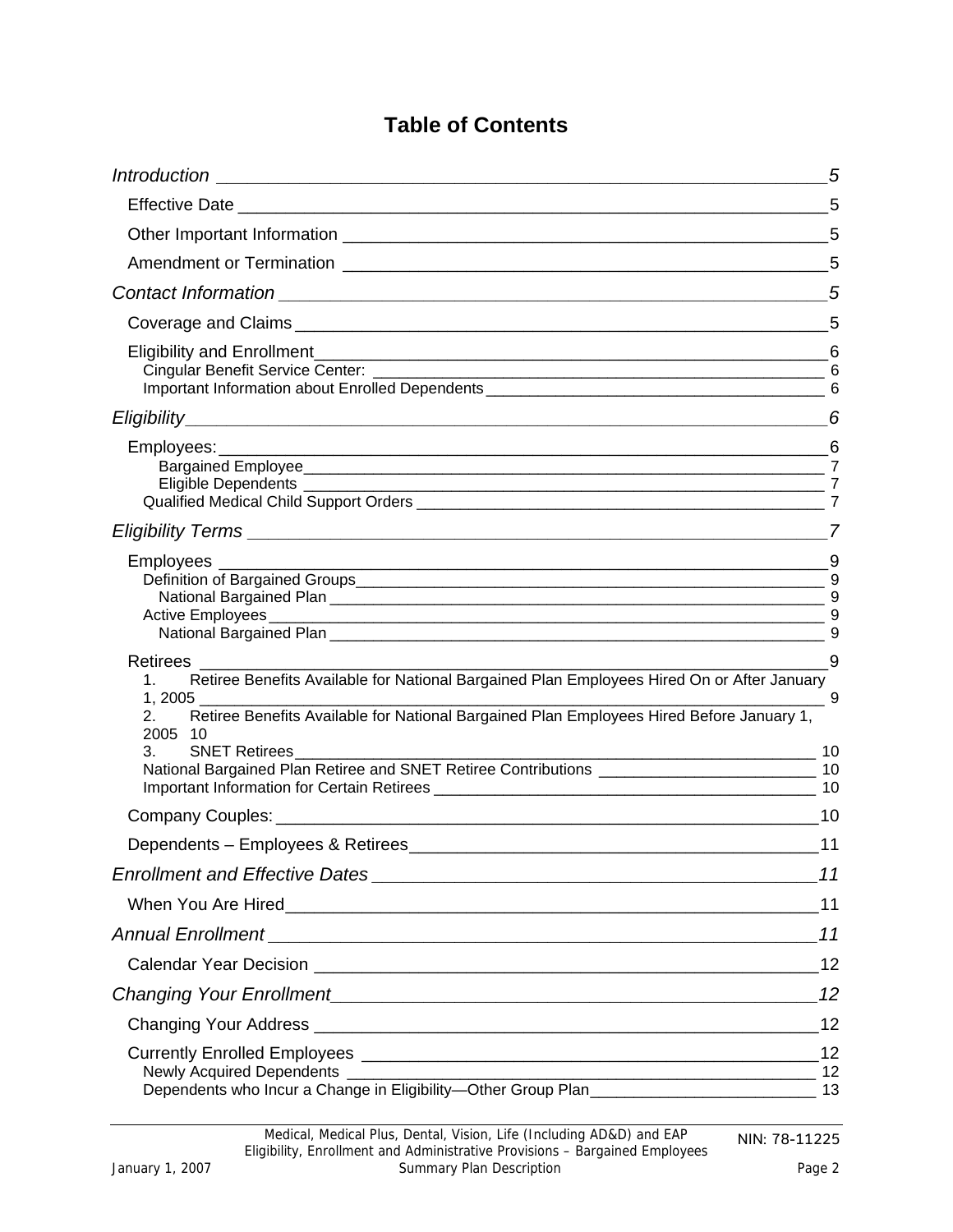## **Table of Contents**

|                                                                                                                                                                                                                                                                     | 5          |
|---------------------------------------------------------------------------------------------------------------------------------------------------------------------------------------------------------------------------------------------------------------------|------------|
|                                                                                                                                                                                                                                                                     |            |
|                                                                                                                                                                                                                                                                     |            |
|                                                                                                                                                                                                                                                                     |            |
|                                                                                                                                                                                                                                                                     | 5          |
|                                                                                                                                                                                                                                                                     | 5          |
|                                                                                                                                                                                                                                                                     | 6          |
|                                                                                                                                                                                                                                                                     | 6          |
|                                                                                                                                                                                                                                                                     |            |
|                                                                                                                                                                                                                                                                     |            |
| Employees ________                                                                                                                                                                                                                                                  | 9          |
| Retirees __________________<br>Retiree Benefits Available for National Bargained Plan Employees Hired On or After January<br>Retiree Benefits Available for National Bargained Plan Employees Hired Before January 1,<br>2.<br>2005 10<br>3.<br>SNET Retirees<br>10 | - 9<br>- 9 |
| National Bargained Plan Retiree and SNET Retiree Contributions __________________________________ 10                                                                                                                                                                |            |
|                                                                                                                                                                                                                                                                     |            |
| $\overline{\phantom{0}}$ 11                                                                                                                                                                                                                                         |            |
|                                                                                                                                                                                                                                                                     | 11         |
|                                                                                                                                                                                                                                                                     |            |
|                                                                                                                                                                                                                                                                     | 11         |
|                                                                                                                                                                                                                                                                     |            |
|                                                                                                                                                                                                                                                                     |            |
|                                                                                                                                                                                                                                                                     | 12         |
| Newly Acquired Dependents ______________<br>$\frac{1}{2}$<br>Dependents who Incur a Change in Eligibility-Other Group Plan__________________________________ 13                                                                                                     |            |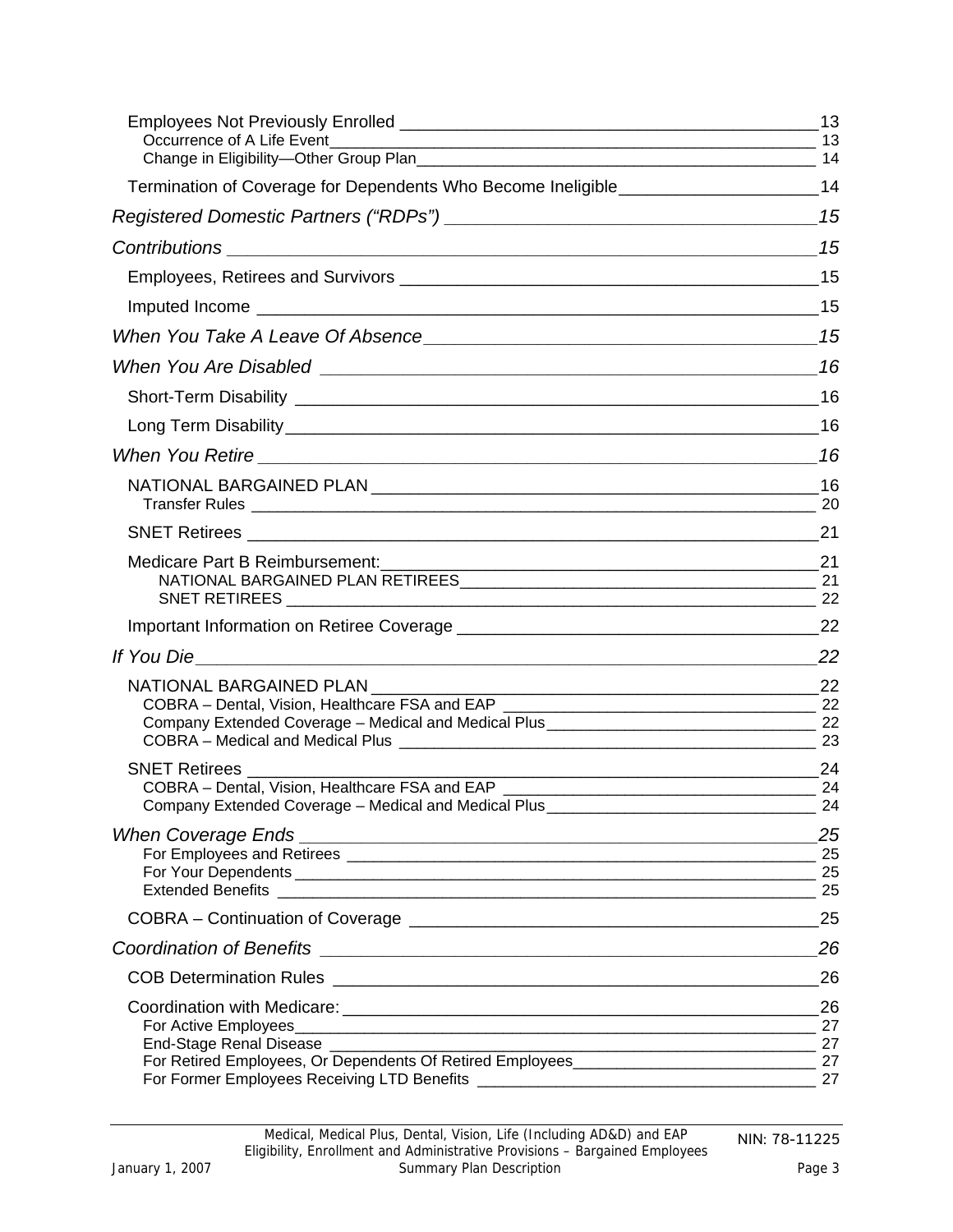| Termination of Coverage for Dependents Who Become Ineligible_____________________14                                                                      |          |
|----------------------------------------------------------------------------------------------------------------------------------------------------------|----------|
|                                                                                                                                                          |          |
|                                                                                                                                                          |          |
|                                                                                                                                                          |          |
|                                                                                                                                                          |          |
|                                                                                                                                                          |          |
|                                                                                                                                                          |          |
|                                                                                                                                                          |          |
|                                                                                                                                                          |          |
|                                                                                                                                                          |          |
|                                                                                                                                                          |          |
|                                                                                                                                                          |          |
| Medicare Part B Reimbursement:                                                                                                                           |          |
|                                                                                                                                                          |          |
|                                                                                                                                                          |          |
|                                                                                                                                                          |          |
|                                                                                                                                                          |          |
|                                                                                                                                                          |          |
|                                                                                                                                                          |          |
| <b>SNET Retirees</b>                                                                                                                                     |          |
| Company Extended Coverage - Medical and Medical Plus _______________                                                                                     | 24       |
| <b>When Coverage Ends</b><br><u> 1989 - Johann Stein, mars an deutscher Stein und der Stein und der Stein und der Stein und der Stein und der</u>        | 25       |
|                                                                                                                                                          | 25       |
|                                                                                                                                                          | 25<br>25 |
|                                                                                                                                                          | 25       |
| <b>Coordination of Benefits</b><br><u> 1989 - Johann Barbara, martin amerikan basal dan berasal dalam basal dalam basal dalam basal dalam basal dala</u> | 26       |
|                                                                                                                                                          | 26       |
|                                                                                                                                                          | 26       |
|                                                                                                                                                          |          |
| End-Stage Renal Disease __________                                                                                                                       | 27       |
| For Retired Employees, Or Dependents Of Retired Employees_______________________                                                                         | 27       |
|                                                                                                                                                          | 27       |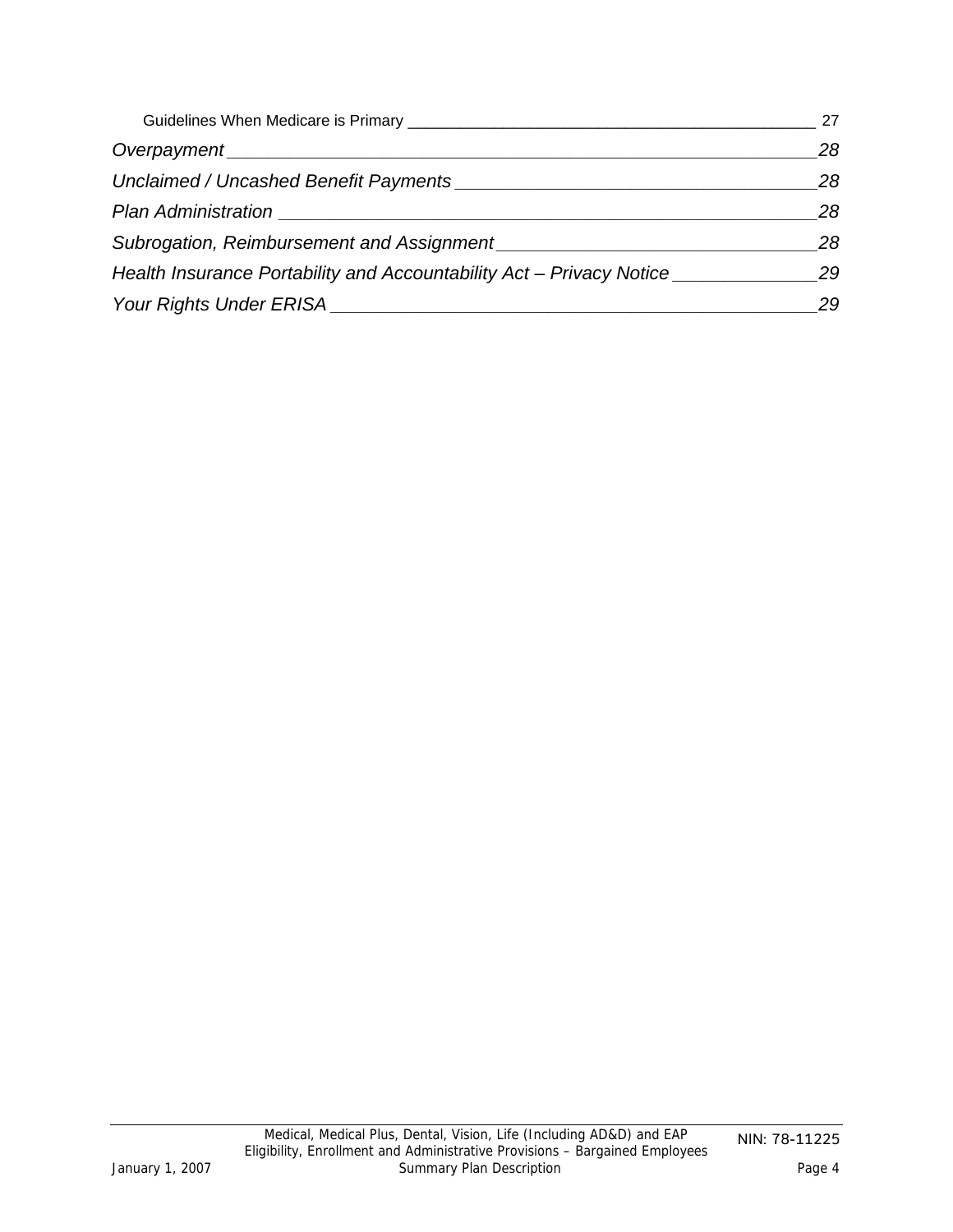|                                                                                                                                                                                                                                      | 27 |
|--------------------------------------------------------------------------------------------------------------------------------------------------------------------------------------------------------------------------------------|----|
|                                                                                                                                                                                                                                      | 28 |
|                                                                                                                                                                                                                                      | 28 |
| <b>Plan Administration Contract Service Service Service Service Service Service Service Service Service Service Service Service Service Service Service Service Service Service Service Service Service Service Service Servic</b>   | 28 |
| Subrogation, Reimbursement and Assignment <b>Constanting Constanting Constanting Constanting Constanting Constanting Constanting Constanting Constanting Constanting Constanting Constanting Constanting Constanting Constanting</b> | 28 |
| Health Insurance Portability and Accountability Act – Privacy Notice                                                                                                                                                                 | 29 |
| Your Rights Under ERISA                                                                                                                                                                                                              | 29 |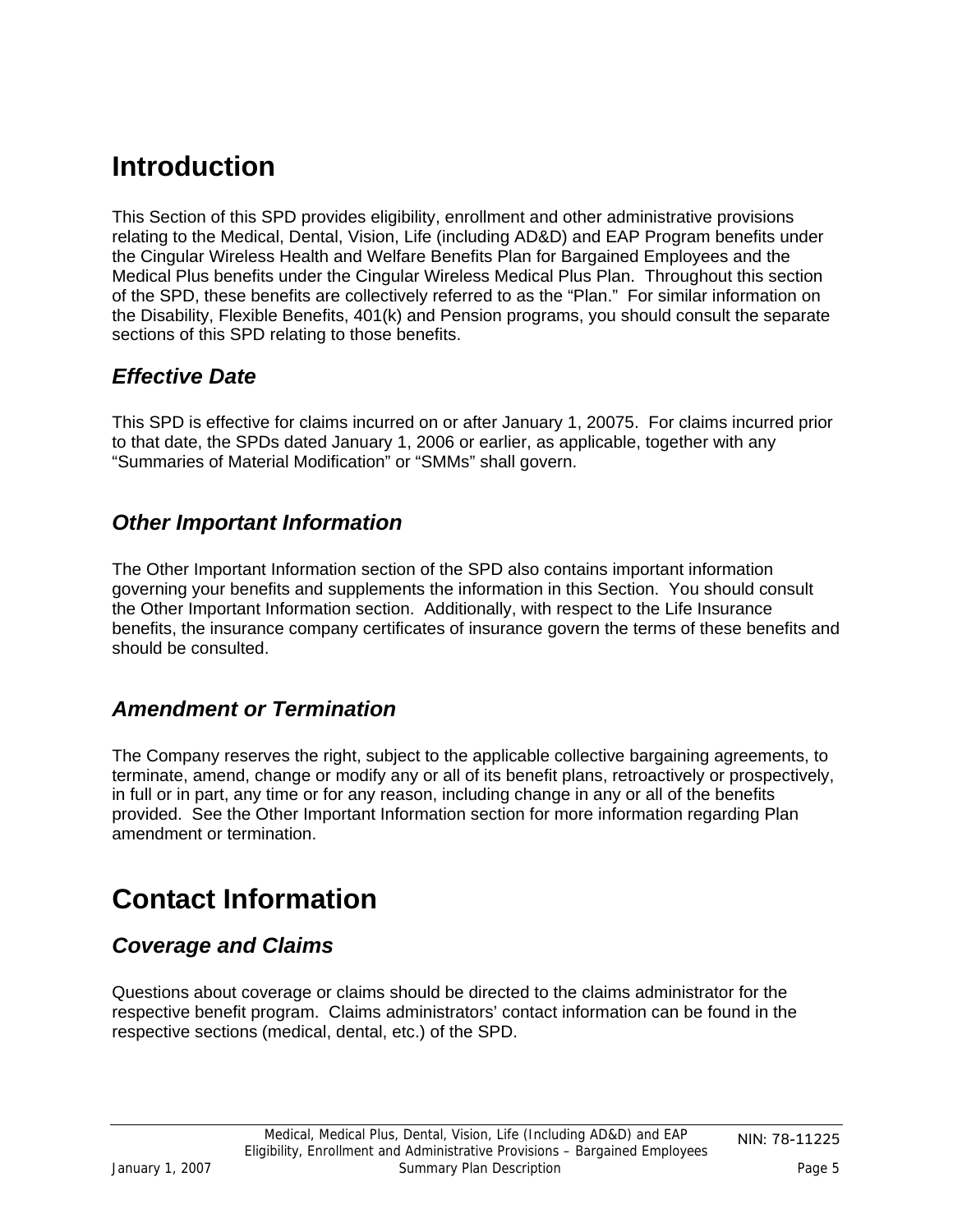## <span id="page-4-0"></span>**Introduction**

This Section of this SPD provides eligibility, enrollment and other administrative provisions relating to the Medical, Dental, Vision, Life (including AD&D) and EAP Program benefits under the Cingular Wireless Health and Welfare Benefits Plan for Bargained Employees and the Medical Plus benefits under the Cingular Wireless Medical Plus Plan. Throughout this section of the SPD, these benefits are collectively referred to as the "Plan." For similar information on the Disability, Flexible Benefits, 401(k) and Pension programs, you should consult the separate sections of this SPD relating to those benefits.

### *Effective Date*

This SPD is effective for claims incurred on or after January 1, 20075. For claims incurred prior to that date, the SPDs dated January 1, 2006 or earlier, as applicable, together with any "Summaries of Material Modification" or "SMMs" shall govern.

### *Other Important Information*

The Other Important Information section of the SPD also contains important information governing your benefits and supplements the information in this Section. You should consult the Other Important Information section. Additionally, with respect to the Life Insurance benefits, the insurance company certificates of insurance govern the terms of these benefits and should be consulted.

## *Amendment or Termination*

The Company reserves the right, subject to the applicable collective bargaining agreements, to terminate, amend, change or modify any or all of its benefit plans, retroactively or prospectively, in full or in part, any time or for any reason, including change in any or all of the benefits provided. See the Other Important Information section for more information regarding Plan amendment or termination.

# **Contact Information**

## *Coverage and Claims*

Questions about coverage or claims should be directed to the claims administrator for the respective benefit program. Claims administrators' contact information can be found in the respective sections (medical, dental, etc.) of the SPD.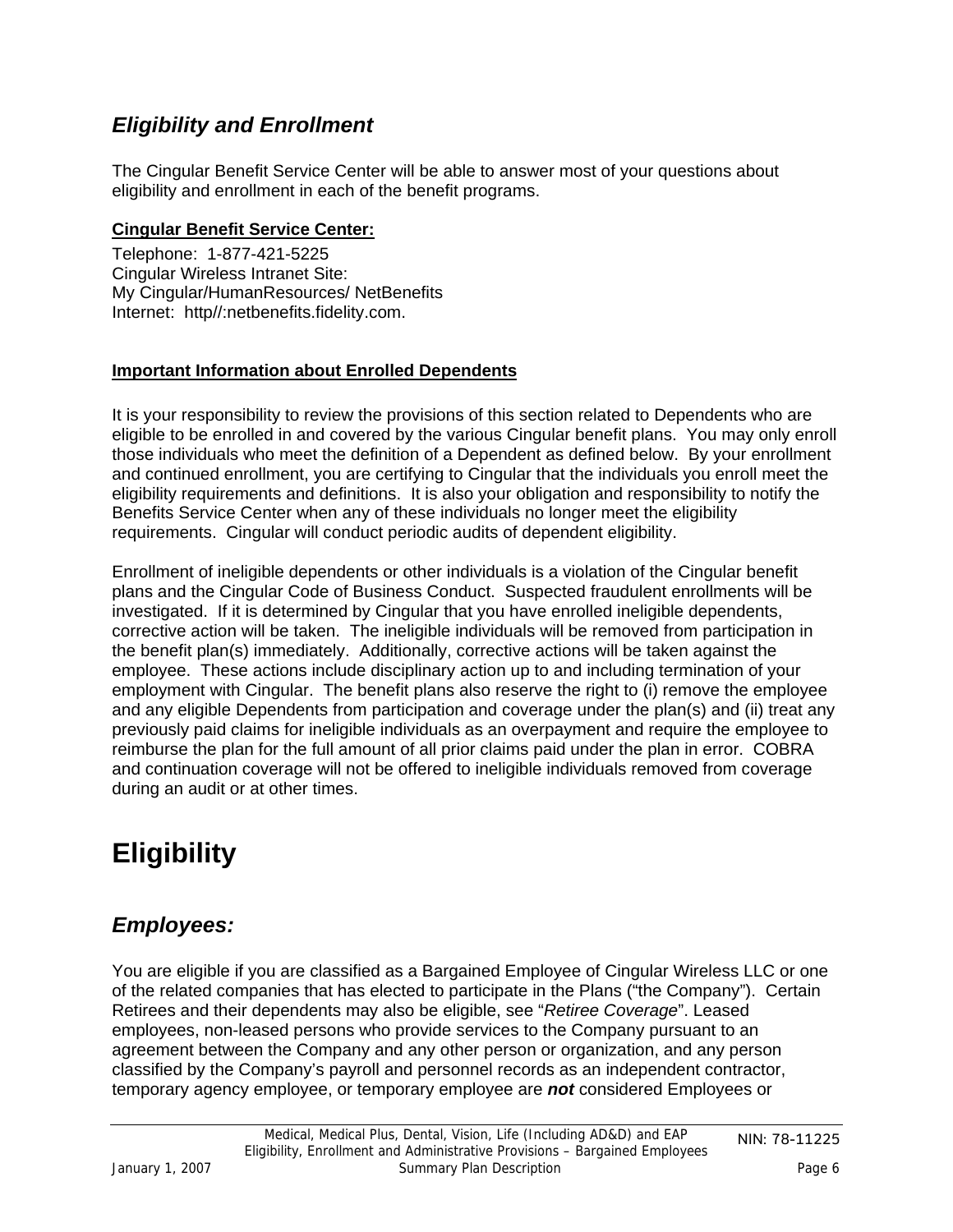## <span id="page-5-0"></span>*Eligibility and Enrollment*

The Cingular Benefit Service Center will be able to answer most of your questions about eligibility and enrollment in each of the benefit programs.

### **Cingular Benefit Service Center:**

Telephone: 1-877-421-5225 Cingular Wireless Intranet Site: My Cingular/HumanResources/ NetBenefits Internet: http//:netbenefits.fidelity.com.

### **Important Information about Enrolled Dependents**

It is your responsibility to review the provisions of this section related to Dependents who are eligible to be enrolled in and covered by the various Cingular benefit plans. You may only enroll those individuals who meet the definition of a Dependent as defined below. By your enrollment and continued enrollment, you are certifying to Cingular that the individuals you enroll meet the eligibility requirements and definitions. It is also your obligation and responsibility to notify the Benefits Service Center when any of these individuals no longer meet the eligibility requirements. Cingular will conduct periodic audits of dependent eligibility.

Enrollment of ineligible dependents or other individuals is a violation of the Cingular benefit plans and the Cingular Code of Business Conduct. Suspected fraudulent enrollments will be investigated. If it is determined by Cingular that you have enrolled ineligible dependents, corrective action will be taken. The ineligible individuals will be removed from participation in the benefit plan(s) immediately. Additionally, corrective actions will be taken against the employee. These actions include disciplinary action up to and including termination of your employment with Cingular. The benefit plans also reserve the right to (i) remove the employee and any eligible Dependents from participation and coverage under the plan(s) and (ii) treat any previously paid claims for ineligible individuals as an overpayment and require the employee to reimburse the plan for the full amount of all prior claims paid under the plan in error. COBRA and continuation coverage will not be offered to ineligible individuals removed from coverage during an audit or at other times.

# **Eligibility**

## *Employees:*

You are eligible if you are classified as a Bargained Employee of Cingular Wireless LLC or one of the related companies that has elected to participate in the Plans ("the Company"). Certain Retirees and their dependents may also be eligible, see "*Retiree Coverage*". Leased employees, non-leased persons who provide services to the Company pursuant to an agreement between the Company and any other person or organization, and any person classified by the Company's payroll and personnel records as an independent contractor, temporary agency employee, or temporary employee are *not* considered Employees or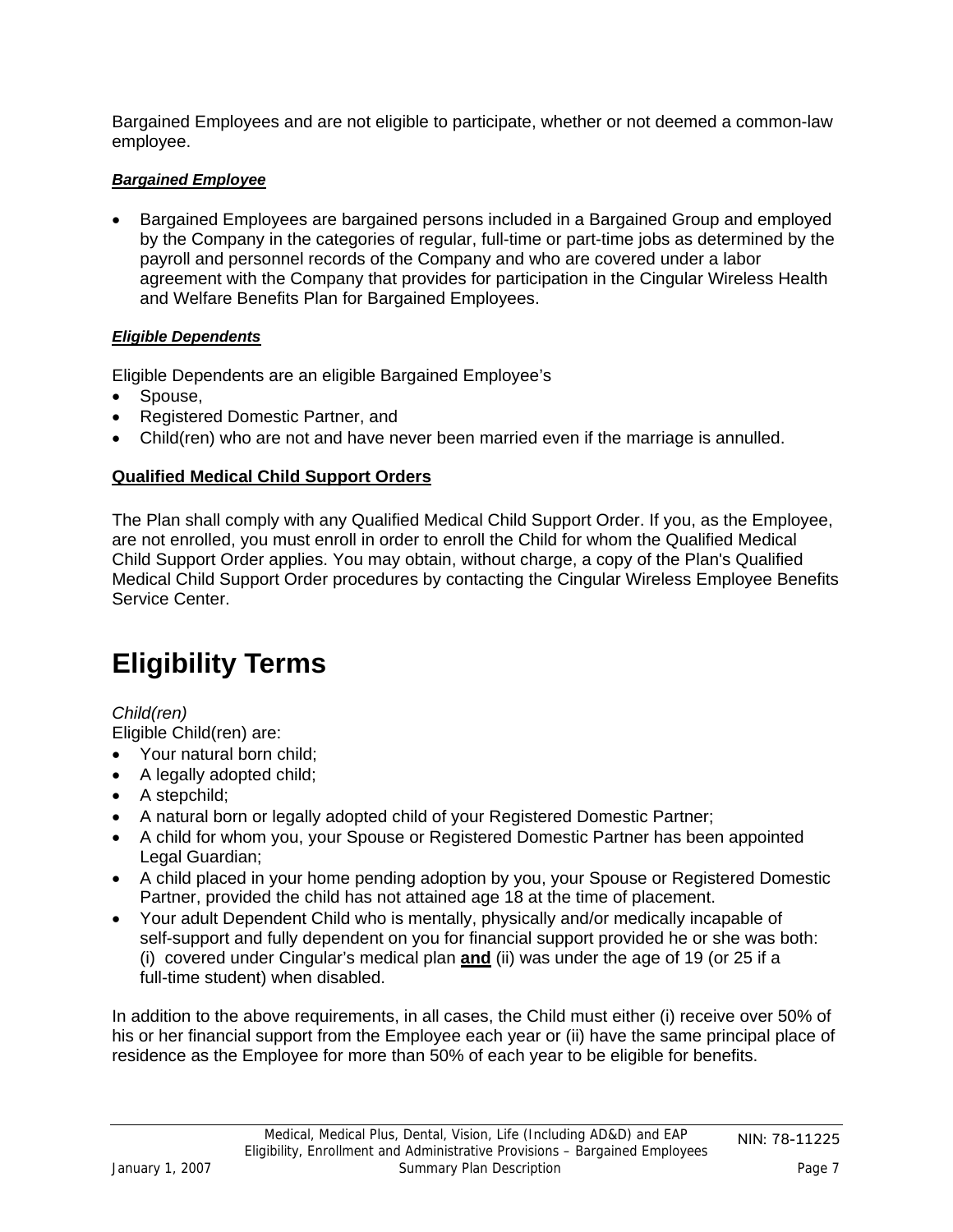<span id="page-6-0"></span>Bargained Employees and are not eligible to participate, whether or not deemed a common-law employee.

### *Bargained Employee*

• Bargained Employees are bargained persons included in a Bargained Group and employed by the Company in the categories of regular, full-time or part-time jobs as determined by the payroll and personnel records of the Company and who are covered under a labor agreement with the Company that provides for participation in the Cingular Wireless Health and Welfare Benefits Plan for Bargained Employees.

#### *Eligible Dependents*

Eligible Dependents are an eligible Bargained Employee's

- Spouse,
- Registered Domestic Partner, and
- Child(ren) who are not and have never been married even if the marriage is annulled.

### **Qualified Medical Child Support Orders**

The Plan shall comply with any Qualified Medical Child Support Order. If you, as the Employee, are not enrolled, you must enroll in order to enroll the Child for whom the Qualified Medical Child Support Order applies. You may obtain, without charge, a copy of the Plan's Qualified Medical Child Support Order procedures by contacting the Cingular Wireless Employee Benefits Service Center.

# **Eligibility Terms**

### *Child(ren)*

Eligible Child(ren) are:

- Your natural born child;
- A legally adopted child;
- A stepchild;
- A natural born or legally adopted child of your Registered Domestic Partner;
- A child for whom you, your Spouse or Registered Domestic Partner has been appointed Legal Guardian;
- A child placed in your home pending adoption by you, your Spouse or Registered Domestic Partner, provided the child has not attained age 18 at the time of placement.
- Your adult Dependent Child who is mentally, physically and/or medically incapable of self-support and fully dependent on you for financial support provided he or she was both: (i) covered under Cingular's medical plan **and** (ii) was under the age of 19 (or 25 if a full-time student) when disabled.

In addition to the above requirements, in all cases, the Child must either (i) receive over 50% of his or her financial support from the Employee each year or (ii) have the same principal place of residence as the Employee for more than 50% of each year to be eligible for benefits.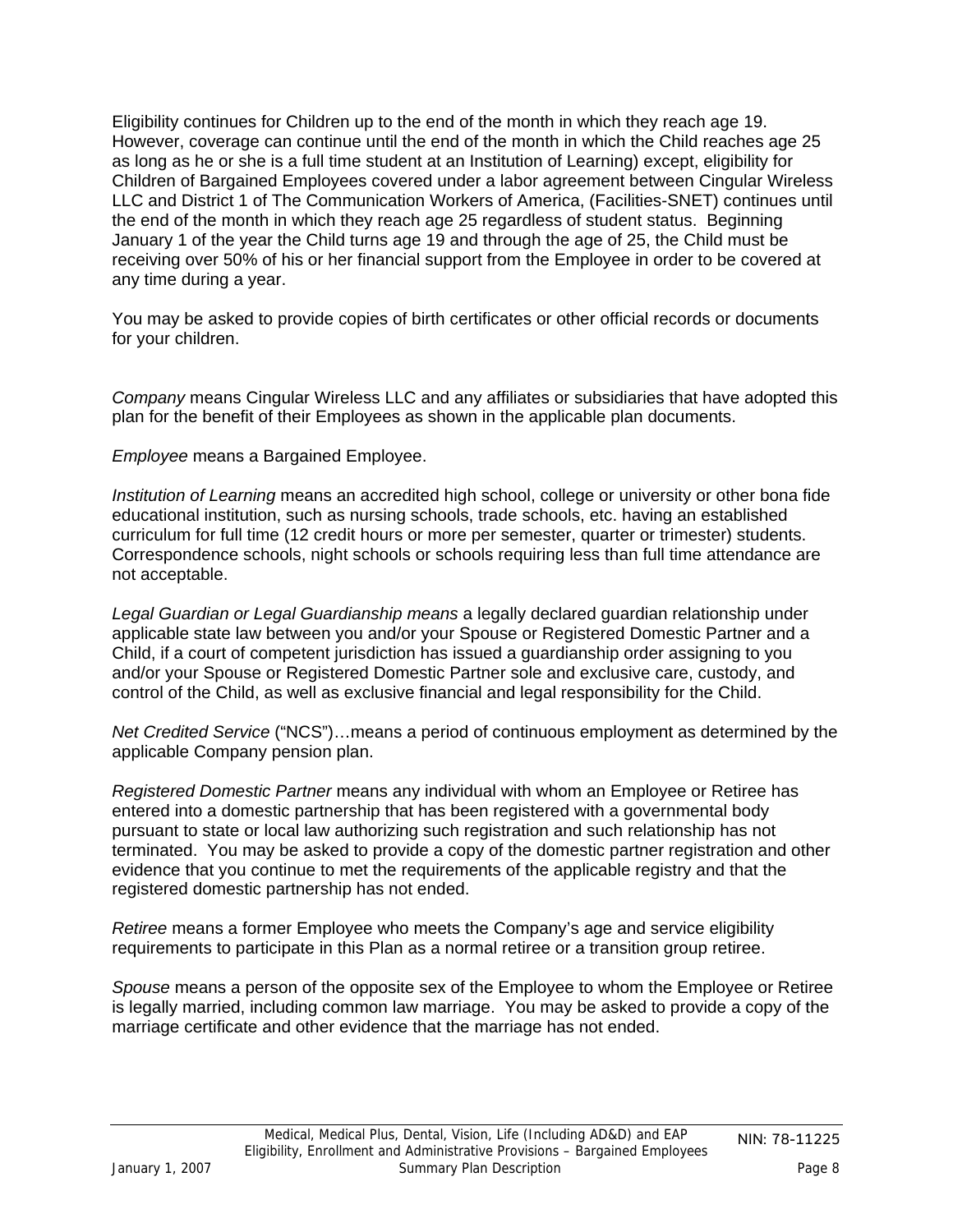Eligibility continues for Children up to the end of the month in which they reach age 19. However, coverage can continue until the end of the month in which the Child reaches age 25 as long as he or she is a full time student at an Institution of Learning) except, eligibility for Children of Bargained Employees covered under a labor agreement between Cingular Wireless LLC and District 1 of The Communication Workers of America, (Facilities-SNET) continues until the end of the month in which they reach age 25 regardless of student status. Beginning January 1 of the year the Child turns age 19 and through the age of 25, the Child must be receiving over 50% of his or her financial support from the Employee in order to be covered at any time during a year.

You may be asked to provide copies of birth certificates or other official records or documents for your children.

*Company* means Cingular Wireless LLC and any affiliates or subsidiaries that have adopted this plan for the benefit of their Employees as shown in the applicable plan documents.

*Employee* means a Bargained Employee.

*Institution of Learning* means an accredited high school, college or university or other bona fide educational institution, such as nursing schools, trade schools, etc. having an established curriculum for full time (12 credit hours or more per semester, quarter or trimester) students. Correspondence schools, night schools or schools requiring less than full time attendance are not acceptable.

*Legal Guardian or Legal Guardianship means* a legally declared guardian relationship under applicable state law between you and/or your Spouse or Registered Domestic Partner and a Child, if a court of competent jurisdiction has issued a guardianship order assigning to you and/or your Spouse or Registered Domestic Partner sole and exclusive care, custody, and control of the Child, as well as exclusive financial and legal responsibility for the Child.

*Net Credited Service* ("NCS")…means a period of continuous employment as determined by the applicable Company pension plan.

*Registered Domestic Partner* means any individual with whom an Employee or Retiree has entered into a domestic partnership that has been registered with a governmental body pursuant to state or local law authorizing such registration and such relationship has not terminated. You may be asked to provide a copy of the domestic partner registration and other evidence that you continue to met the requirements of the applicable registry and that the registered domestic partnership has not ended.

*Retiree* means a former Employee who meets the Company's age and service eligibility requirements to participate in this Plan as a normal retiree or a transition group retiree.

*Spouse* means a person of the opposite sex of the Employee to whom the Employee or Retiree is legally married, including common law marriage. You may be asked to provide a copy of the marriage certificate and other evidence that the marriage has not ended.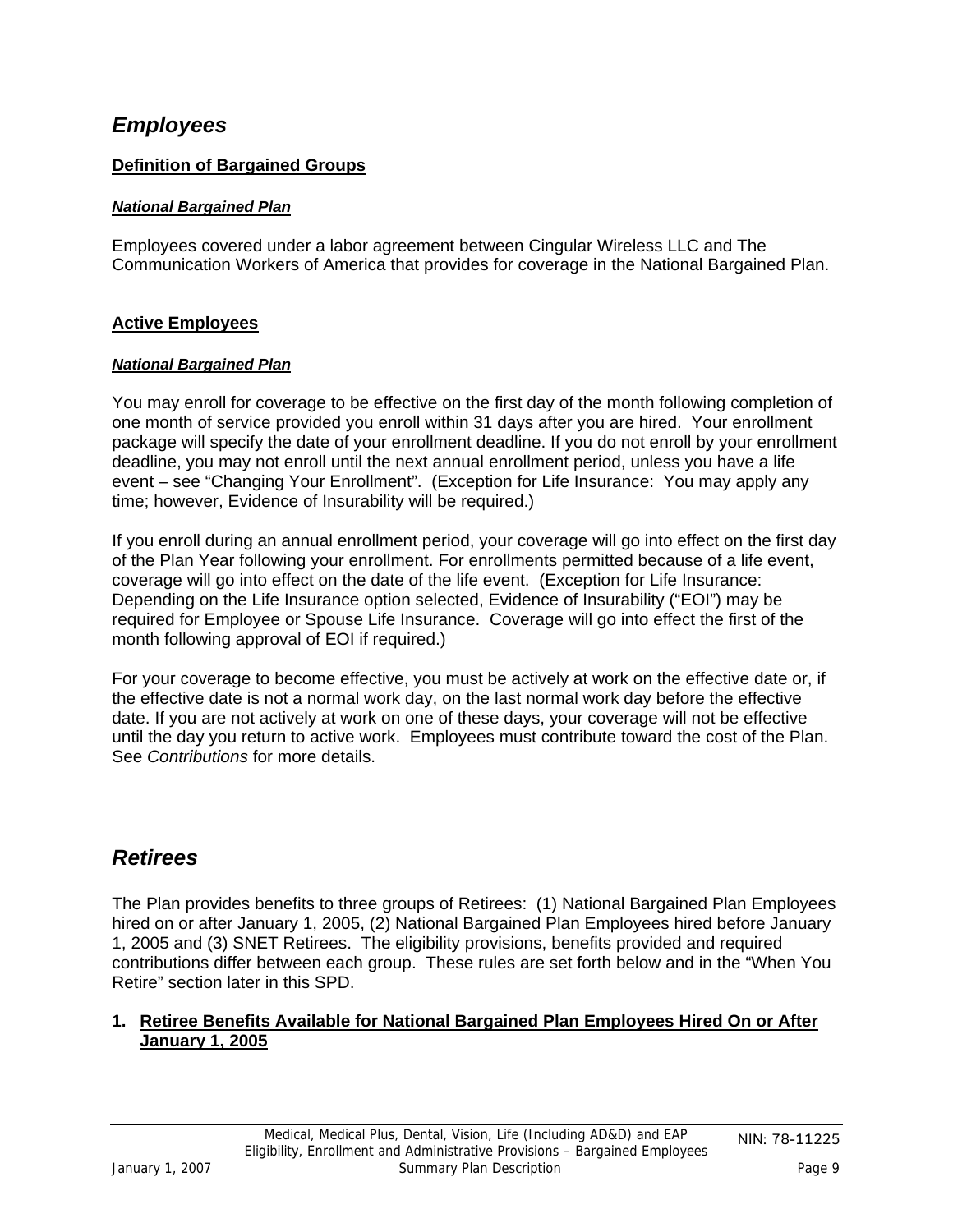### <span id="page-8-0"></span>*Employees*

### **Definition of Bargained Groups**

#### *National Bargained Plan*

Employees covered under a labor agreement between Cingular Wireless LLC and The Communication Workers of America that provides for coverage in the National Bargained Plan.

#### **Active Employees**

#### *National Bargained Plan*

You may enroll for coverage to be effective on the first day of the month following completion of one month of service provided you enroll within 31 days after you are hired. Your enrollment package will specify the date of your enrollment deadline. If you do not enroll by your enrollment deadline, you may not enroll until the next annual enrollment period, unless you have a life event – see "Changing Your Enrollment". (Exception for Life Insurance: You may apply any time; however, Evidence of Insurability will be required.)

If you enroll during an annual enrollment period, your coverage will go into effect on the first day of the Plan Year following your enrollment. For enrollments permitted because of a life event, coverage will go into effect on the date of the life event. (Exception for Life Insurance: Depending on the Life Insurance option selected, Evidence of Insurability ("EOI") may be required for Employee or Spouse Life Insurance. Coverage will go into effect the first of the month following approval of EOI if required.)

For your coverage to become effective, you must be actively at work on the effective date or, if the effective date is not a normal work day, on the last normal work day before the effective date. If you are not actively at work on one of these days, your coverage will not be effective until the day you return to active work. Employees must contribute toward the cost of the Plan. See *Contributions* for more details.

### *Retirees*

The Plan provides benefits to three groups of Retirees: (1) National Bargained Plan Employees hired on or after January 1, 2005, (2) National Bargained Plan Employees hired before January 1, 2005 and (3) SNET Retirees. The eligibility provisions, benefits provided and required contributions differ between each group. These rules are set forth below and in the "When You Retire" section later in this SPD.

#### **1. Retiree Benefits Available for National Bargained Plan Employees Hired On or After January 1, 2005**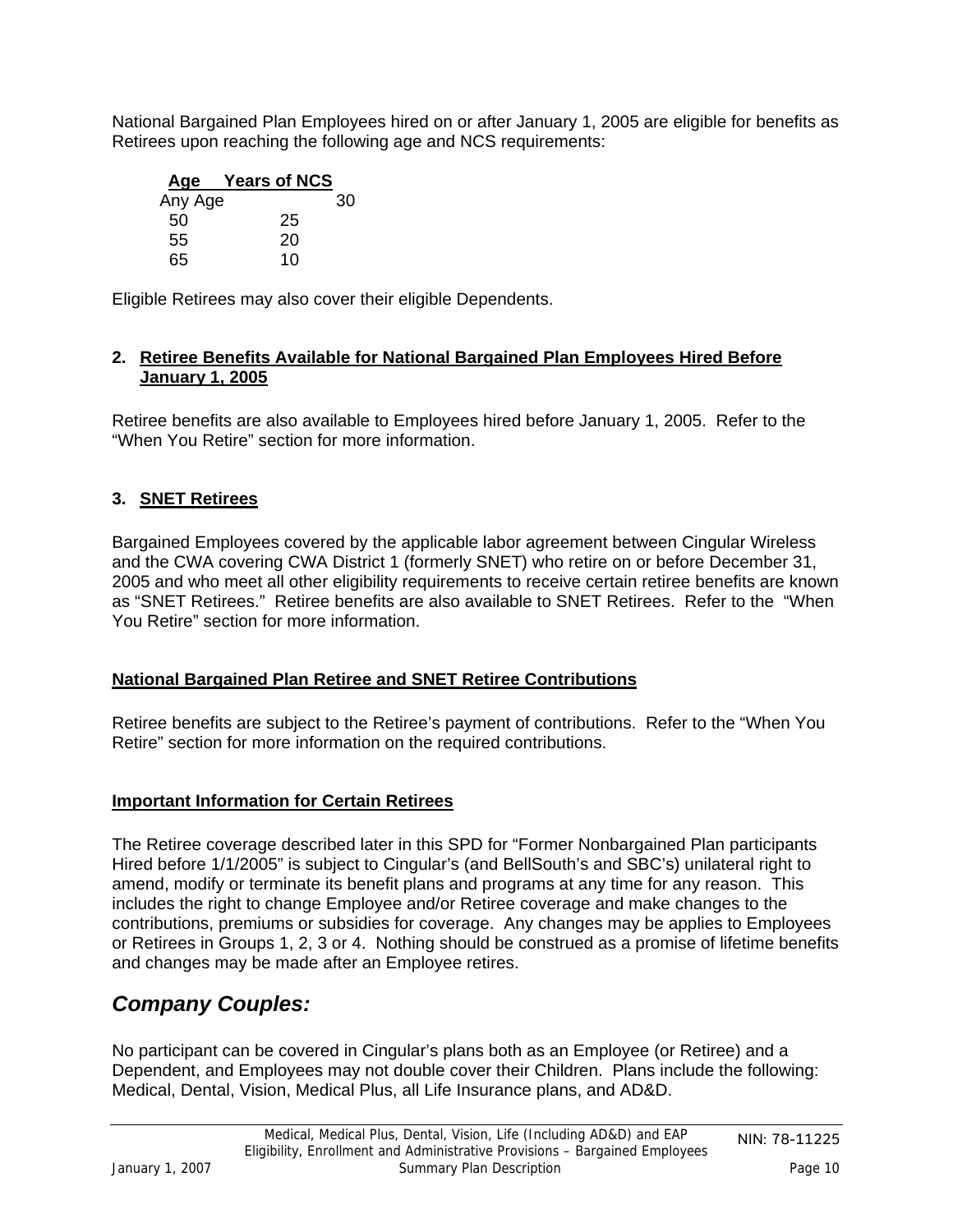<span id="page-9-0"></span>National Bargained Plan Employees hired on or after January 1, 2005 are eligible for benefits as Retirees upon reaching the following age and NCS requirements:

| Age     | <b>Years of NCS</b> |    |
|---------|---------------------|----|
| Any Age |                     | 30 |
| 50      | 25                  |    |
| 55      | 20                  |    |
| 65      | 10                  |    |

Eligible Retirees may also cover their eligible Dependents.

#### **2. Retiree Benefits Available for National Bargained Plan Employees Hired Before January 1, 2005**

Retiree benefits are also available to Employees hired before January 1, 2005. Refer to the "When You Retire" section for more information.

### **3. SNET Retirees**

Bargained Employees covered by the applicable labor agreement between Cingular Wireless and the CWA covering CWA District 1 (formerly SNET) who retire on or before December 31, 2005 and who meet all other eligibility requirements to receive certain retiree benefits are known as "SNET Retirees." Retiree benefits are also available to SNET Retirees. Refer to the "When You Retire" section for more information.

### **National Bargained Plan Retiree and SNET Retiree Contributions**

Retiree benefits are subject to the Retiree's payment of contributions. Refer to the "When You Retire" section for more information on the required contributions.

#### **Important Information for Certain Retirees**

The Retiree coverage described later in this SPD for "Former Nonbargained Plan participants Hired before 1/1/2005" is subject to Cingular's (and BellSouth's and SBC's) unilateral right to amend, modify or terminate its benefit plans and programs at any time for any reason. This includes the right to change Employee and/or Retiree coverage and make changes to the contributions, premiums or subsidies for coverage. Any changes may be applies to Employees or Retirees in Groups 1, 2, 3 or 4. Nothing should be construed as a promise of lifetime benefits and changes may be made after an Employee retires.

### *Company Couples:*

No participant can be covered in Cingular's plans both as an Employee (or Retiree) and a Dependent, and Employees may not double cover their Children. Plans include the following: Medical, Dental, Vision, Medical Plus, all Life Insurance plans, and AD&D.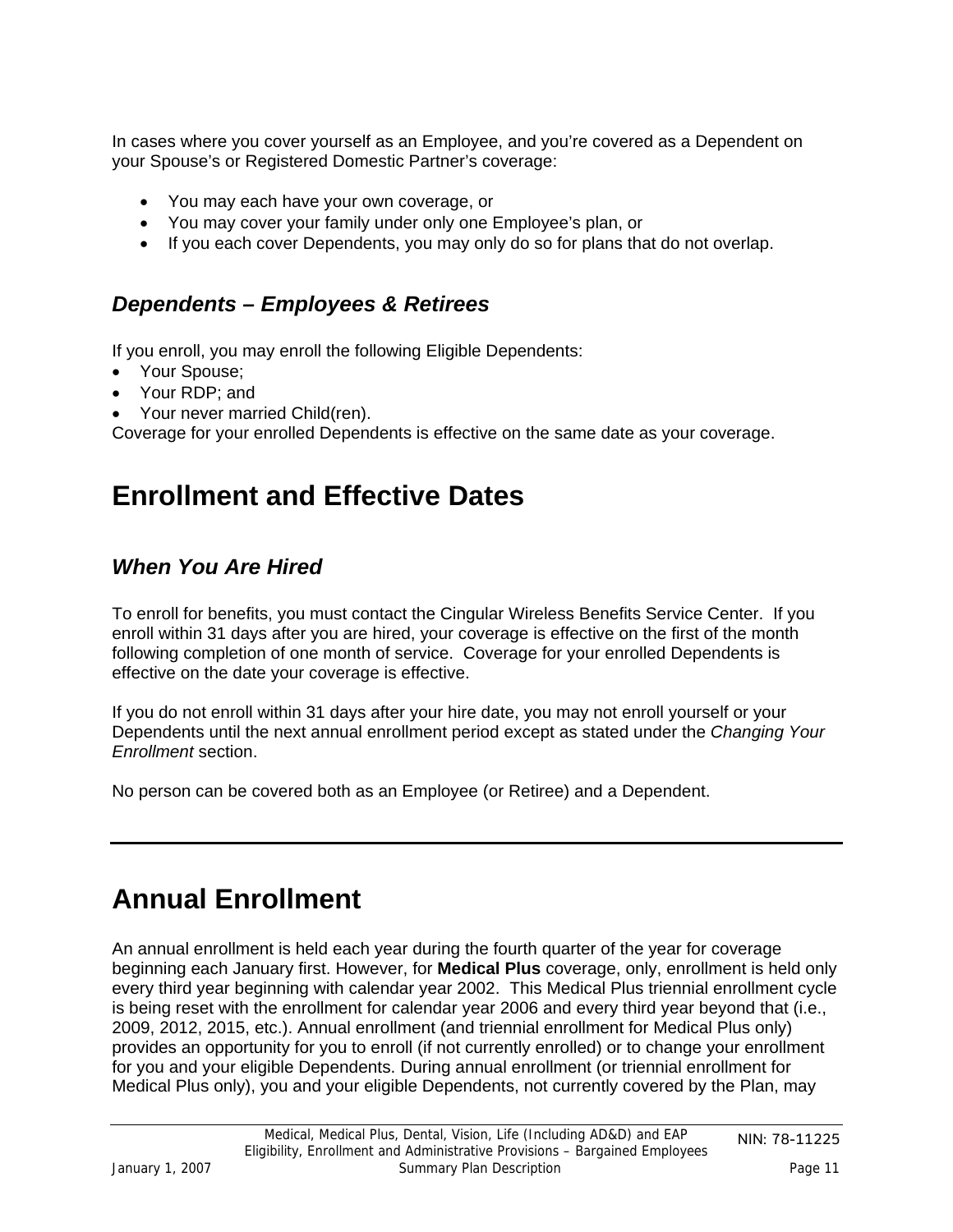<span id="page-10-0"></span>In cases where you cover yourself as an Employee, and you're covered as a Dependent on your Spouse's or Registered Domestic Partner's coverage:

- You may each have your own coverage, or
- You may cover your family under only one Employee's plan, or
- If you each cover Dependents, you may only do so for plans that do not overlap.

### *Dependents – Employees & Retirees*

If you enroll, you may enroll the following Eligible Dependents:

- Your Spouse;
- Your RDP; and
- Your never married Child(ren).

Coverage for your enrolled Dependents is effective on the same date as your coverage.

## **Enrollment and Effective Dates**

### *When You Are Hired*

To enroll for benefits, you must contact the Cingular Wireless Benefits Service Center. If you enroll within 31 days after you are hired, your coverage is effective on the first of the month following completion of one month of service. Coverage for your enrolled Dependents is effective on the date your coverage is effective.

If you do not enroll within 31 days after your hire date, you may not enroll yourself or your Dependents until the next annual enrollment period except as stated under the *Changing Your Enrollment* section.

No person can be covered both as an Employee (or Retiree) and a Dependent.

## **Annual Enrollment**

An annual enrollment is held each year during the fourth quarter of the year for coverage beginning each January first. However, for **Medical Plus** coverage, only, enrollment is held only every third year beginning with calendar year 2002. This Medical Plus triennial enrollment cycle is being reset with the enrollment for calendar year 2006 and every third year beyond that (i.e., 2009, 2012, 2015, etc.). Annual enrollment (and triennial enrollment for Medical Plus only) provides an opportunity for you to enroll (if not currently enrolled) or to change your enrollment for you and your eligible Dependents. During annual enrollment (or triennial enrollment for Medical Plus only), you and your eligible Dependents, not currently covered by the Plan, may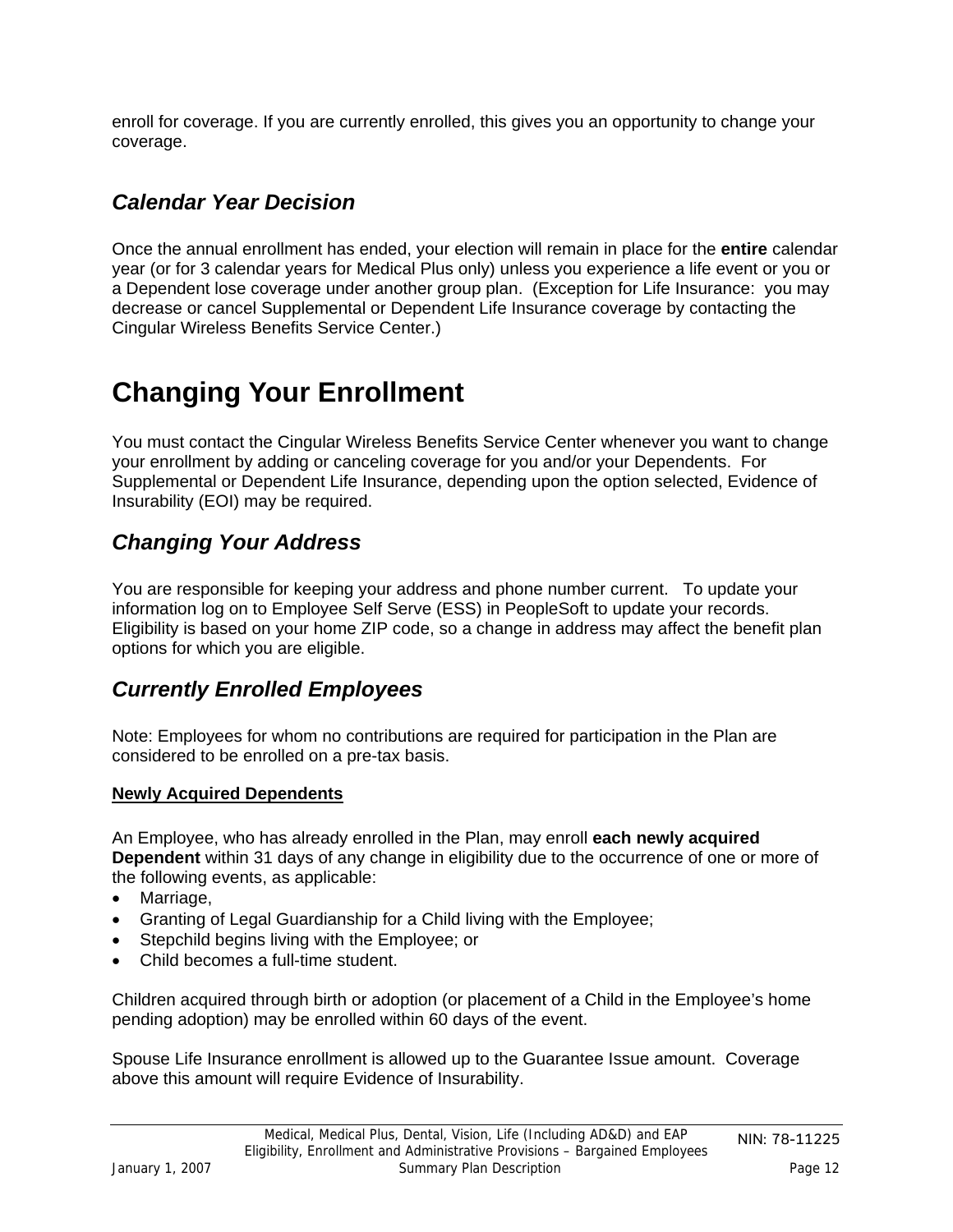<span id="page-11-0"></span>enroll for coverage. If you are currently enrolled, this gives you an opportunity to change your coverage.

## *Calendar Year Decision*

Once the annual enrollment has ended, your election will remain in place for the **entire** calendar year (or for 3 calendar years for Medical Plus only) unless you experience a life event or you or a Dependent lose coverage under another group plan. (Exception for Life Insurance: you may decrease or cancel Supplemental or Dependent Life Insurance coverage by contacting the Cingular Wireless Benefits Service Center.)

# **Changing Your Enrollment**

You must contact the Cingular Wireless Benefits Service Center whenever you want to change your enrollment by adding or canceling coverage for you and/or your Dependents. For Supplemental or Dependent Life Insurance, depending upon the option selected, Evidence of Insurability (EOI) may be required.

## *Changing Your Address*

You are responsible for keeping your address and phone number current. To update your information log on to Employee Self Serve (ESS) in PeopleSoft to update your records. Eligibility is based on your home ZIP code, so a change in address may affect the benefit plan options for which you are eligible.

## *Currently Enrolled Employees*

Note: Employees for whom no contributions are required for participation in the Plan are considered to be enrolled on a pre-tax basis.

### **Newly Acquired Dependents**

An Employee, who has already enrolled in the Plan, may enroll **each newly acquired Dependent** within 31 days of any change in eligibility due to the occurrence of one or more of the following events, as applicable:

- Marriage,
- Granting of Legal Guardianship for a Child living with the Employee;
- Stepchild begins living with the Employee; or
- Child becomes a full-time student.

Children acquired through birth or adoption (or placement of a Child in the Employee's home pending adoption) may be enrolled within 60 days of the event.

Spouse Life Insurance enrollment is allowed up to the Guarantee Issue amount. Coverage above this amount will require Evidence of Insurability.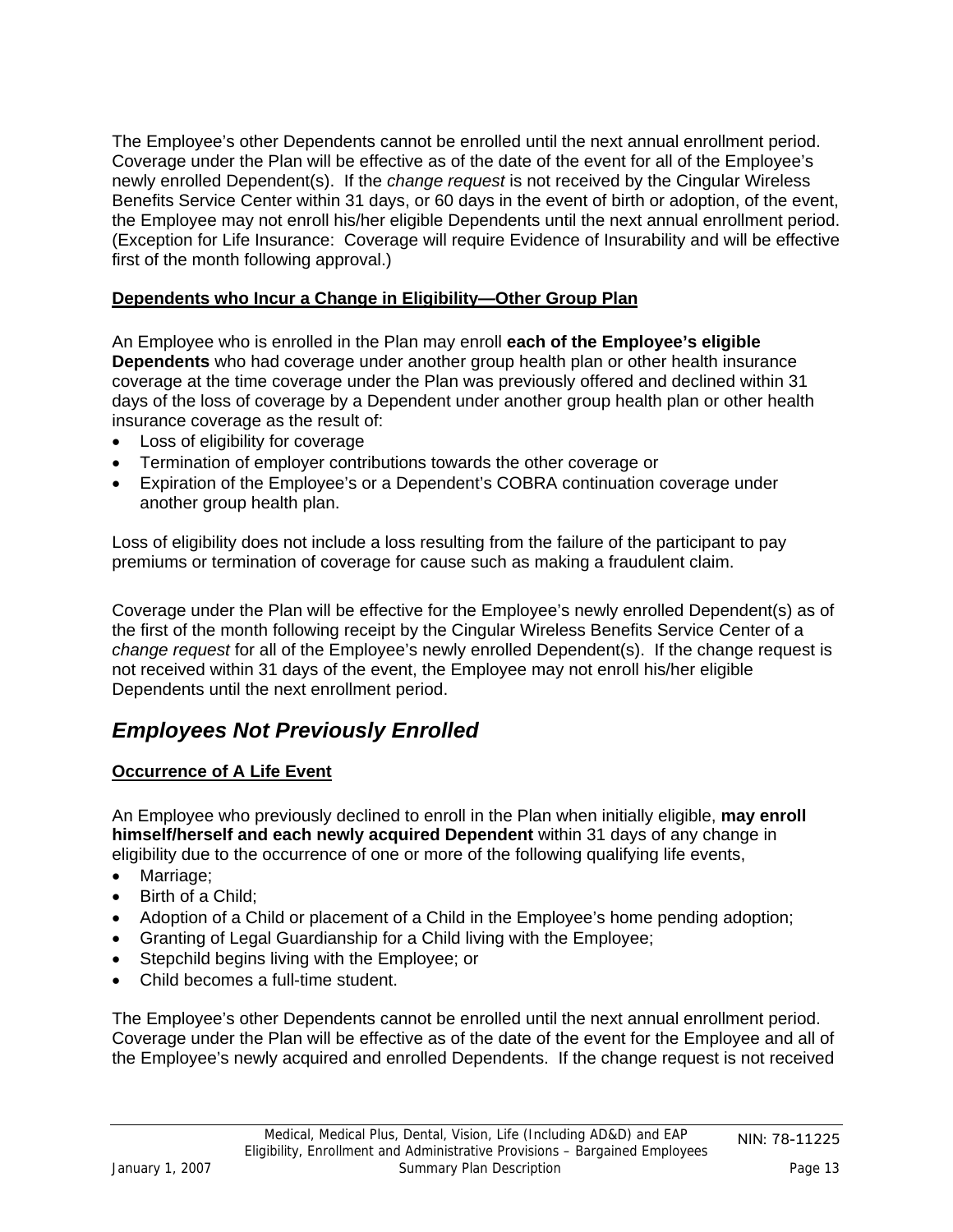<span id="page-12-0"></span>The Employee's other Dependents cannot be enrolled until the next annual enrollment period. Coverage under the Plan will be effective as of the date of the event for all of the Employee's newly enrolled Dependent(s). If the *change request* is not received by the Cingular Wireless Benefits Service Center within 31 days, or 60 days in the event of birth or adoption, of the event, the Employee may not enroll his/her eligible Dependents until the next annual enrollment period. (Exception for Life Insurance: Coverage will require Evidence of Insurability and will be effective first of the month following approval.)

### **Dependents who Incur a Change in Eligibility—Other Group Plan**

An Employee who is enrolled in the Plan may enroll **each of the Employee's eligible Dependents** who had coverage under another group health plan or other health insurance coverage at the time coverage under the Plan was previously offered and declined within 31 days of the loss of coverage by a Dependent under another group health plan or other health insurance coverage as the result of:

- Loss of eligibility for coverage
- Termination of employer contributions towards the other coverage or
- Expiration of the Employee's or a Dependent's COBRA continuation coverage under another group health plan.

Loss of eligibility does not include a loss resulting from the failure of the participant to pay premiums or termination of coverage for cause such as making a fraudulent claim.

Coverage under the Plan will be effective for the Employee's newly enrolled Dependent(s) as of the first of the month following receipt by the Cingular Wireless Benefits Service Center of a *change request* for all of the Employee's newly enrolled Dependent(s). If the change request is not received within 31 days of the event, the Employee may not enroll his/her eligible Dependents until the next enrollment period.

## *Employees Not Previously Enrolled*

### **Occurrence of A Life Event**

An Employee who previously declined to enroll in the Plan when initially eligible, **may enroll himself/herself and each newly acquired Dependent** within 31 days of any change in eligibility due to the occurrence of one or more of the following qualifying life events,

- Marriage;
- Birth of a Child:
- Adoption of a Child or placement of a Child in the Employee's home pending adoption;
- Granting of Legal Guardianship for a Child living with the Employee;
- Stepchild begins living with the Employee; or
- Child becomes a full-time student.

The Employee's other Dependents cannot be enrolled until the next annual enrollment period. Coverage under the Plan will be effective as of the date of the event for the Employee and all of the Employee's newly acquired and enrolled Dependents. If the change request is not received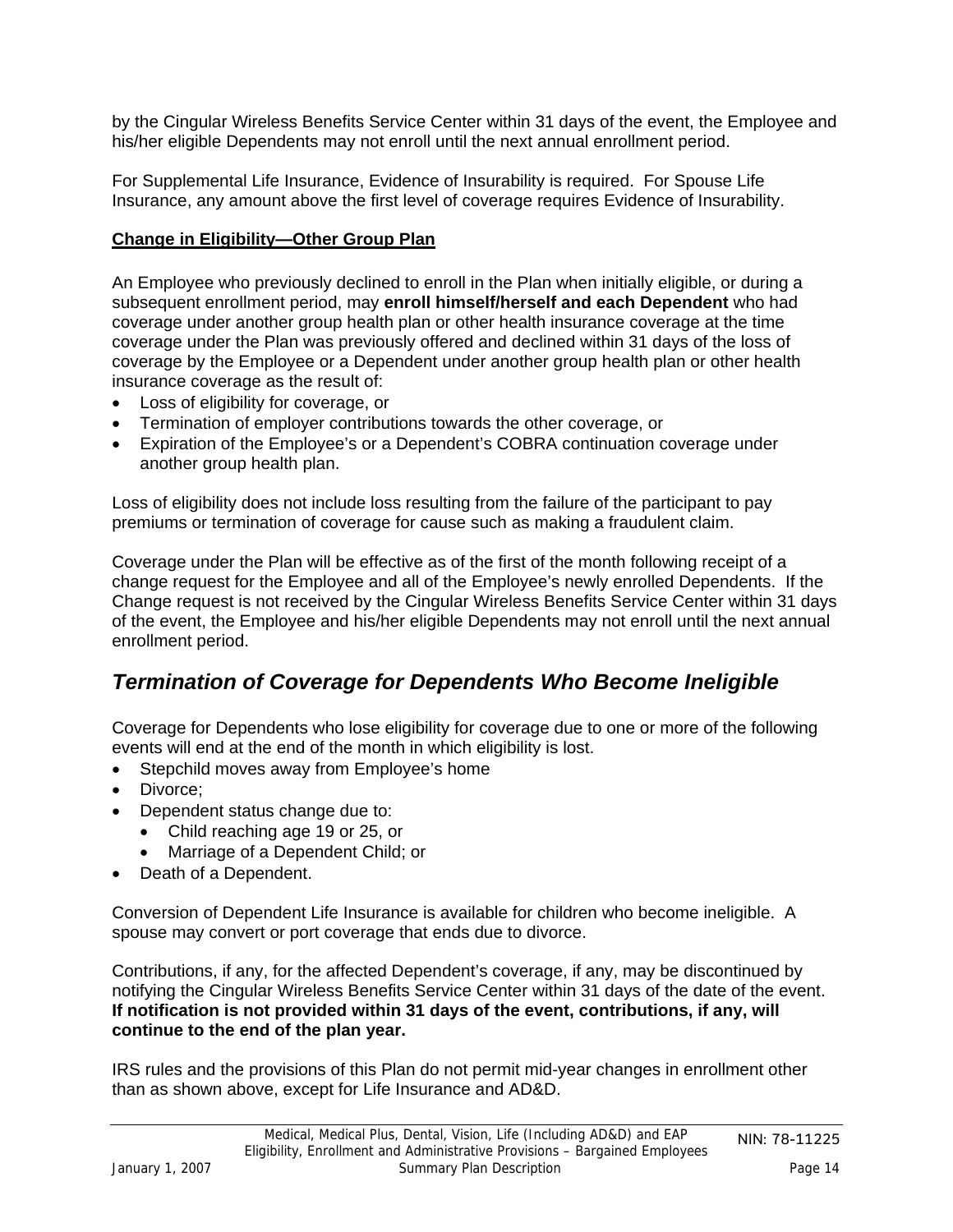<span id="page-13-0"></span>by the Cingular Wireless Benefits Service Center within 31 days of the event, the Employee and his/her eligible Dependents may not enroll until the next annual enrollment period.

For Supplemental Life Insurance, Evidence of Insurability is required. For Spouse Life Insurance, any amount above the first level of coverage requires Evidence of Insurability.

### **Change in Eligibility—Other Group Plan**

An Employee who previously declined to enroll in the Plan when initially eligible, or during a subsequent enrollment period, may **enroll himself/herself and each Dependent** who had coverage under another group health plan or other health insurance coverage at the time coverage under the Plan was previously offered and declined within 31 days of the loss of coverage by the Employee or a Dependent under another group health plan or other health insurance coverage as the result of:

- Loss of eligibility for coverage, or
- Termination of employer contributions towards the other coverage, or
- Expiration of the Employee's or a Dependent's COBRA continuation coverage under another group health plan.

Loss of eligibility does not include loss resulting from the failure of the participant to pay premiums or termination of coverage for cause such as making a fraudulent claim.

Coverage under the Plan will be effective as of the first of the month following receipt of a change request for the Employee and all of the Employee's newly enrolled Dependents. If the Change request is not received by the Cingular Wireless Benefits Service Center within 31 days of the event, the Employee and his/her eligible Dependents may not enroll until the next annual enrollment period.

## *Termination of Coverage for Dependents Who Become Ineligible*

Coverage for Dependents who lose eligibility for coverage due to one or more of the following events will end at the end of the month in which eligibility is lost.

- Stepchild moves away from Employee's home
- Divorce;
- Dependent status change due to:
	- Child reaching age 19 or 25, or
	- Marriage of a Dependent Child; or
- Death of a Dependent.

Conversion of Dependent Life Insurance is available for children who become ineligible. A spouse may convert or port coverage that ends due to divorce.

Contributions, if any, for the affected Dependent's coverage, if any, may be discontinued by notifying the Cingular Wireless Benefits Service Center within 31 days of the date of the event. **If notification is not provided within 31 days of the event, contributions, if any, will continue to the end of the plan year.**

IRS rules and the provisions of this Plan do not permit mid-year changes in enrollment other than as shown above, except for Life Insurance and AD&D.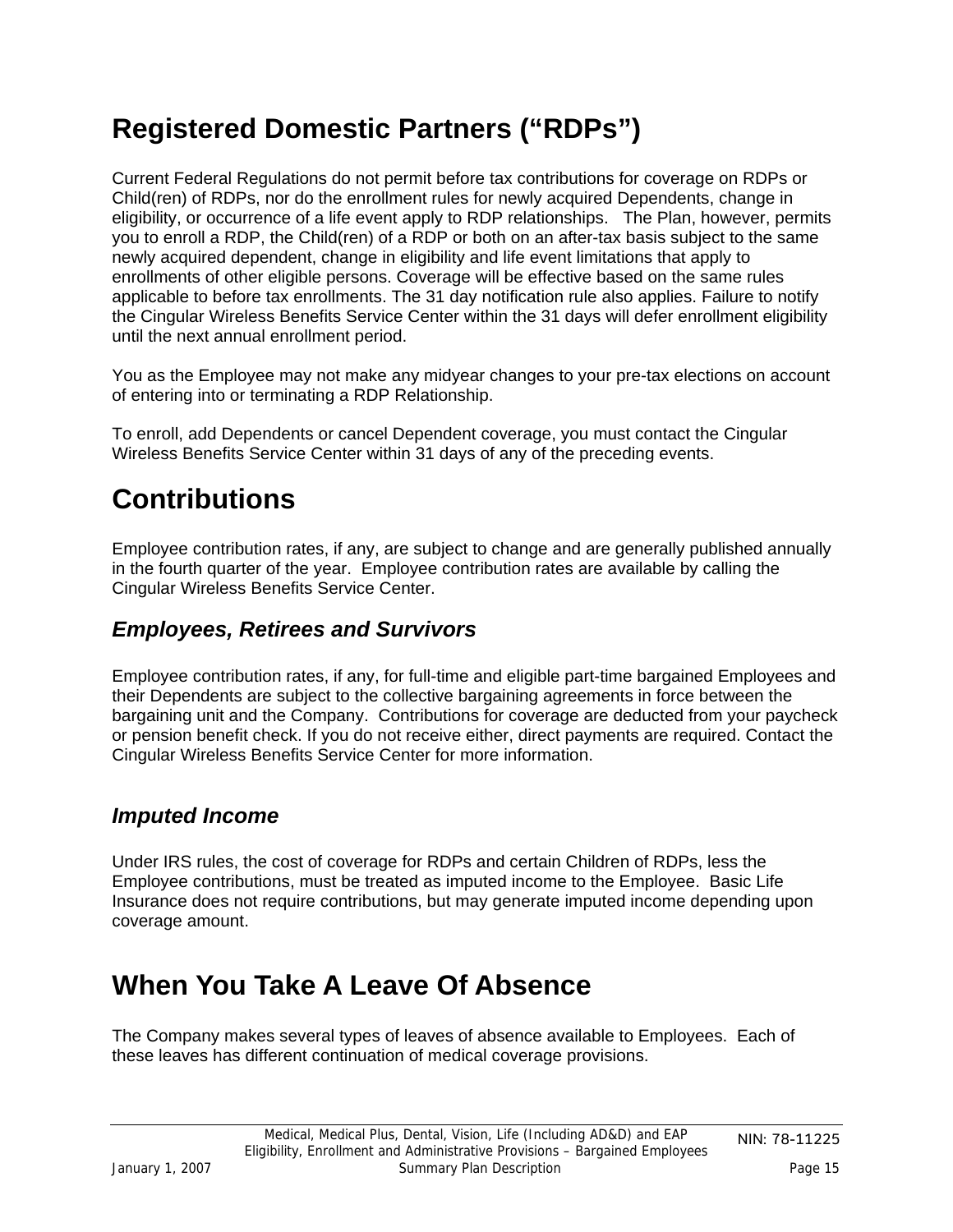# <span id="page-14-0"></span>**Registered Domestic Partners ("RDPs")**

Current Federal Regulations do not permit before tax contributions for coverage on RDPs or Child(ren) of RDPs, nor do the enrollment rules for newly acquired Dependents, change in eligibility, or occurrence of a life event apply to RDP relationships. The Plan, however, permits you to enroll a RDP, the Child(ren) of a RDP or both on an after-tax basis subject to the same newly acquired dependent, change in eligibility and life event limitations that apply to enrollments of other eligible persons. Coverage will be effective based on the same rules applicable to before tax enrollments. The 31 day notification rule also applies. Failure to notify the Cingular Wireless Benefits Service Center within the 31 days will defer enrollment eligibility until the next annual enrollment period.

You as the Employee may not make any midyear changes to your pre-tax elections on account of entering into or terminating a RDP Relationship.

To enroll, add Dependents or cancel Dependent coverage, you must contact the Cingular Wireless Benefits Service Center within 31 days of any of the preceding events.

# **Contributions**

Employee contribution rates, if any, are subject to change and are generally published annually in the fourth quarter of the year. Employee contribution rates are available by calling the Cingular Wireless Benefits Service Center.

### *Employees, Retirees and Survivors*

Employee contribution rates, if any, for full-time and eligible part-time bargained Employees and their Dependents are subject to the collective bargaining agreements in force between the bargaining unit and the Company. Contributions for coverage are deducted from your paycheck or pension benefit check. If you do not receive either, direct payments are required. Contact the Cingular Wireless Benefits Service Center for more information.

## *Imputed Income*

Under IRS rules, the cost of coverage for RDPs and certain Children of RDPs, less the Employee contributions, must be treated as imputed income to the Employee. Basic Life Insurance does not require contributions, but may generate imputed income depending upon coverage amount.

## **When You Take A Leave Of Absence**

The Company makes several types of leaves of absence available to Employees. Each of these leaves has different continuation of medical coverage provisions.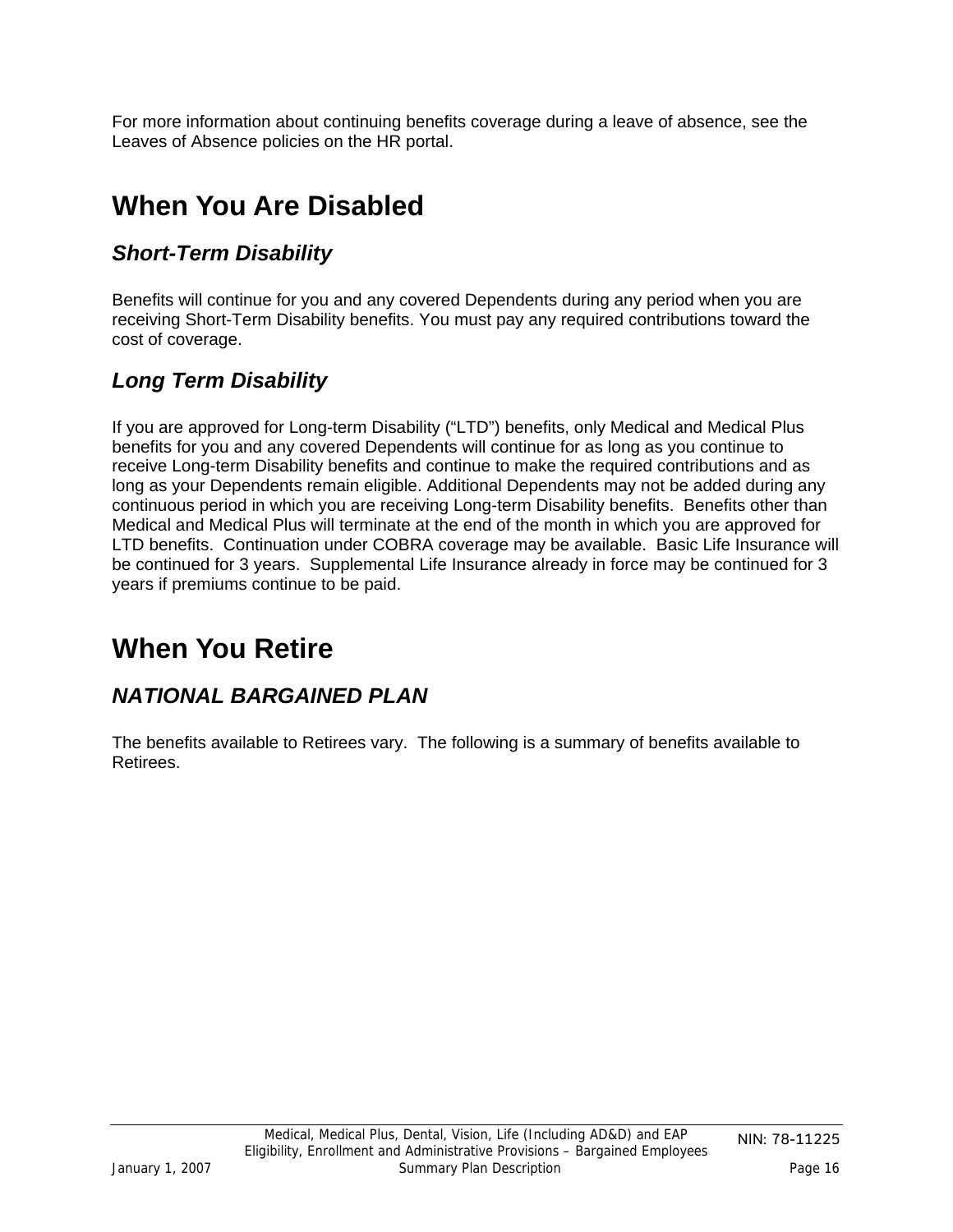<span id="page-15-0"></span>For more information about continuing benefits coverage during a leave of absence, see the Leaves of Absence policies on the HR portal.

# **When You Are Disabled**

## *Short-Term Disability*

Benefits will continue for you and any covered Dependents during any period when you are receiving Short-Term Disability benefits. You must pay any required contributions toward the cost of coverage.

## *Long Term Disability*

If you are approved for Long-term Disability ("LTD") benefits, only Medical and Medical Plus benefits for you and any covered Dependents will continue for as long as you continue to receive Long-term Disability benefits and continue to make the required contributions and as long as your Dependents remain eligible. Additional Dependents may not be added during any continuous period in which you are receiving Long-term Disability benefits. Benefits other than Medical and Medical Plus will terminate at the end of the month in which you are approved for LTD benefits. Continuation under COBRA coverage may be available. Basic Life Insurance will be continued for 3 years. Supplemental Life Insurance already in force may be continued for 3 years if premiums continue to be paid.

## **When You Retire**

## *NATIONAL BARGAINED PLAN*

The benefits available to Retirees vary. The following is a summary of benefits available to Retirees.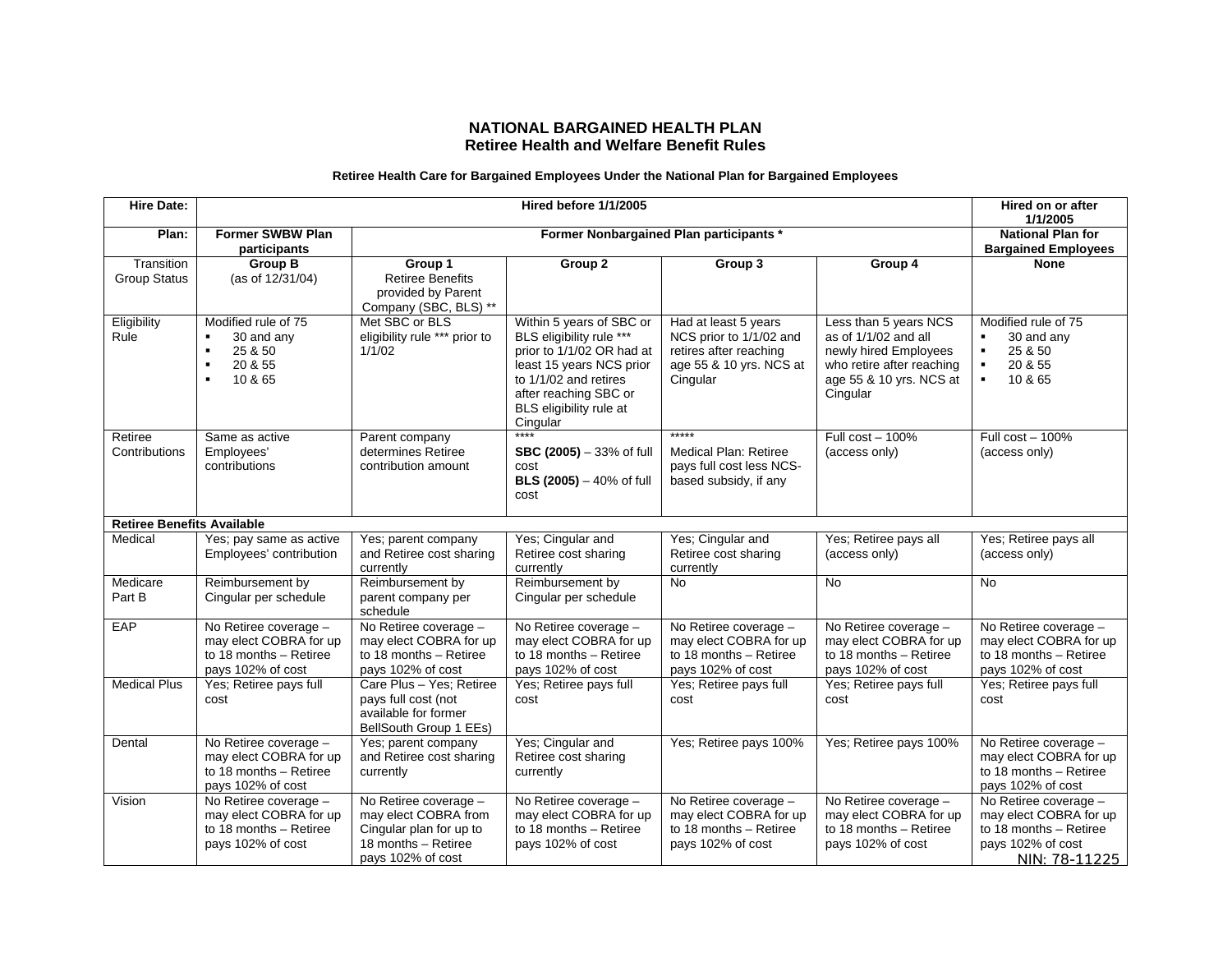#### **NATIONAL BARGAINED HEALTH PLAN Retiree Health and Welfare Benefit Rules**

#### **Retiree Health Care for Bargained Employees Under the National Plan for Bargained Employees**

| <b>Hire Date:</b>                 |                                                                                                                          |                                                                                                                      | Hired before 1/1/2005                                                                                                                                                                                  |                                                                                                                  |                                                                                                                                            | Hired on or after<br>1/1/2005                                                                                            |
|-----------------------------------|--------------------------------------------------------------------------------------------------------------------------|----------------------------------------------------------------------------------------------------------------------|--------------------------------------------------------------------------------------------------------------------------------------------------------------------------------------------------------|------------------------------------------------------------------------------------------------------------------|--------------------------------------------------------------------------------------------------------------------------------------------|--------------------------------------------------------------------------------------------------------------------------|
| Plan:                             | <b>Former SWBW Plan</b><br>participants                                                                                  | Former Nonbargained Plan participants *                                                                              |                                                                                                                                                                                                        |                                                                                                                  | <b>National Plan for</b><br><b>Bargained Employees</b>                                                                                     |                                                                                                                          |
| Transition<br><b>Group Status</b> | <b>Group B</b><br>(as of 12/31/04)                                                                                       | Group 1<br><b>Retiree Benefits</b><br>provided by Parent<br>Company (SBC, BLS) **                                    | Group 2                                                                                                                                                                                                | Group 3                                                                                                          | Group 4                                                                                                                                    | <b>None</b>                                                                                                              |
| Eligibility<br>Rule               | Modified rule of 75<br>30 and any<br>$\blacksquare$<br>25 & 50<br>20 & 55<br>$\blacksquare$<br>10 & 65<br>$\blacksquare$ | Met SBC or BLS<br>eligibility rule *** prior to<br>1/1/02                                                            | Within 5 years of SBC or<br>BLS eligibility rule ***<br>prior to 1/1/02 OR had at<br>least 15 years NCS prior<br>to 1/1/02 and retires<br>after reaching SBC or<br>BLS eligibility rule at<br>Cingular | Had at least 5 years<br>NCS prior to 1/1/02 and<br>retires after reaching<br>age 55 & 10 yrs. NCS at<br>Cingular | Less than 5 years NCS<br>as of 1/1/02 and all<br>newly hired Employees<br>who retire after reaching<br>age 55 & 10 yrs. NCS at<br>Cingular | Modified rule of 75<br>30 and any<br>25 & 50<br>$\blacksquare$<br>20 & 55<br>$\blacksquare$<br>10 & 65<br>$\blacksquare$ |
| Retiree<br>Contributions          | Same as active<br>Employees'<br>contributions                                                                            | Parent company<br>determines Retiree<br>contribution amount                                                          | ****<br>SBC (2005) - 33% of full<br>cost<br>BLS (2005) - 40% of full<br>cost                                                                                                                           | *****<br>Medical Plan: Retiree<br>pays full cost less NCS-<br>based subsidy, if any                              | Full $cost - 100\%$<br>(access only)                                                                                                       | Full $cost - 100\%$<br>(access only)                                                                                     |
| <b>Retiree Benefits Available</b> |                                                                                                                          |                                                                                                                      |                                                                                                                                                                                                        |                                                                                                                  |                                                                                                                                            |                                                                                                                          |
| Medical                           | Yes; pay same as active<br>Employees' contribution                                                                       | Yes; parent company<br>and Retiree cost sharing<br>currently                                                         | Yes; Cingular and<br>Retiree cost sharing<br>currently                                                                                                                                                 | Yes; Cingular and<br>Retiree cost sharing<br>currently                                                           | Yes; Retiree pays all<br>(access only)                                                                                                     | Yes; Retiree pays all<br>(access only)                                                                                   |
| Medicare<br>Part B                | Reimbursement by<br>Cingular per schedule                                                                                | Reimbursement by<br>parent company per<br>schedule                                                                   | Reimbursement by<br>Cingular per schedule                                                                                                                                                              | <b>No</b>                                                                                                        | <b>No</b>                                                                                                                                  | <b>No</b>                                                                                                                |
| EAP                               | No Retiree coverage -<br>may elect COBRA for up<br>to 18 months - Retiree<br>pays 102% of cost                           | No Retiree coverage -<br>may elect COBRA for up<br>to 18 months - Retiree<br>pays 102% of cost                       | No Retiree coverage -<br>may elect COBRA for up<br>to 18 months - Retiree<br>pays 102% of cost                                                                                                         | No Retiree coverage -<br>may elect COBRA for up<br>to 18 months - Retiree<br>pays 102% of cost                   | No Retiree coverage -<br>may elect COBRA for up<br>to 18 months - Retiree<br>pays 102% of cost                                             | No Retiree coverage -<br>may elect COBRA for up<br>to 18 months - Retiree<br>pays 102% of cost                           |
| <b>Medical Plus</b>               | Yes; Retiree pays full<br>cost                                                                                           | Care Plus - Yes: Retiree<br>pays full cost (not<br>available for former<br>BellSouth Group 1 EEs)                    | Yes; Retiree pays full<br>cost                                                                                                                                                                         | Yes: Retiree pays full<br>cost                                                                                   | Yes; Retiree pays full<br>cost                                                                                                             | Yes; Retiree pays full<br>cost                                                                                           |
| Dental                            | No Retiree coverage -<br>may elect COBRA for up<br>to 18 months - Retiree<br>pays 102% of cost                           | Yes; parent company<br>and Retiree cost sharing<br>currently                                                         | Yes; Cingular and<br>Retiree cost sharing<br>currently                                                                                                                                                 | Yes: Retiree pays 100%                                                                                           | Yes: Retiree pays 100%                                                                                                                     | No Retiree coverage -<br>may elect COBRA for up<br>to 18 months - Retiree<br>pays 102% of cost                           |
| Vision                            | No Retiree coverage -<br>may elect COBRA for up<br>to 18 months - Retiree<br>pays 102% of cost                           | No Retiree coverage -<br>may elect COBRA from<br>Cingular plan for up to<br>18 months - Retiree<br>pays 102% of cost | No Retiree coverage -<br>may elect COBRA for up<br>to 18 months - Retiree<br>pays 102% of cost                                                                                                         | No Retiree coverage -<br>may elect COBRA for up<br>to 18 months - Retiree<br>pays 102% of cost                   | No Retiree coverage -<br>may elect COBRA for up<br>to 18 months - Retiree<br>pays 102% of cost                                             | No Retiree coverage -<br>may elect COBRA for up<br>to 18 months - Retiree<br>pays 102% of cost<br>NIN: 78-11225          |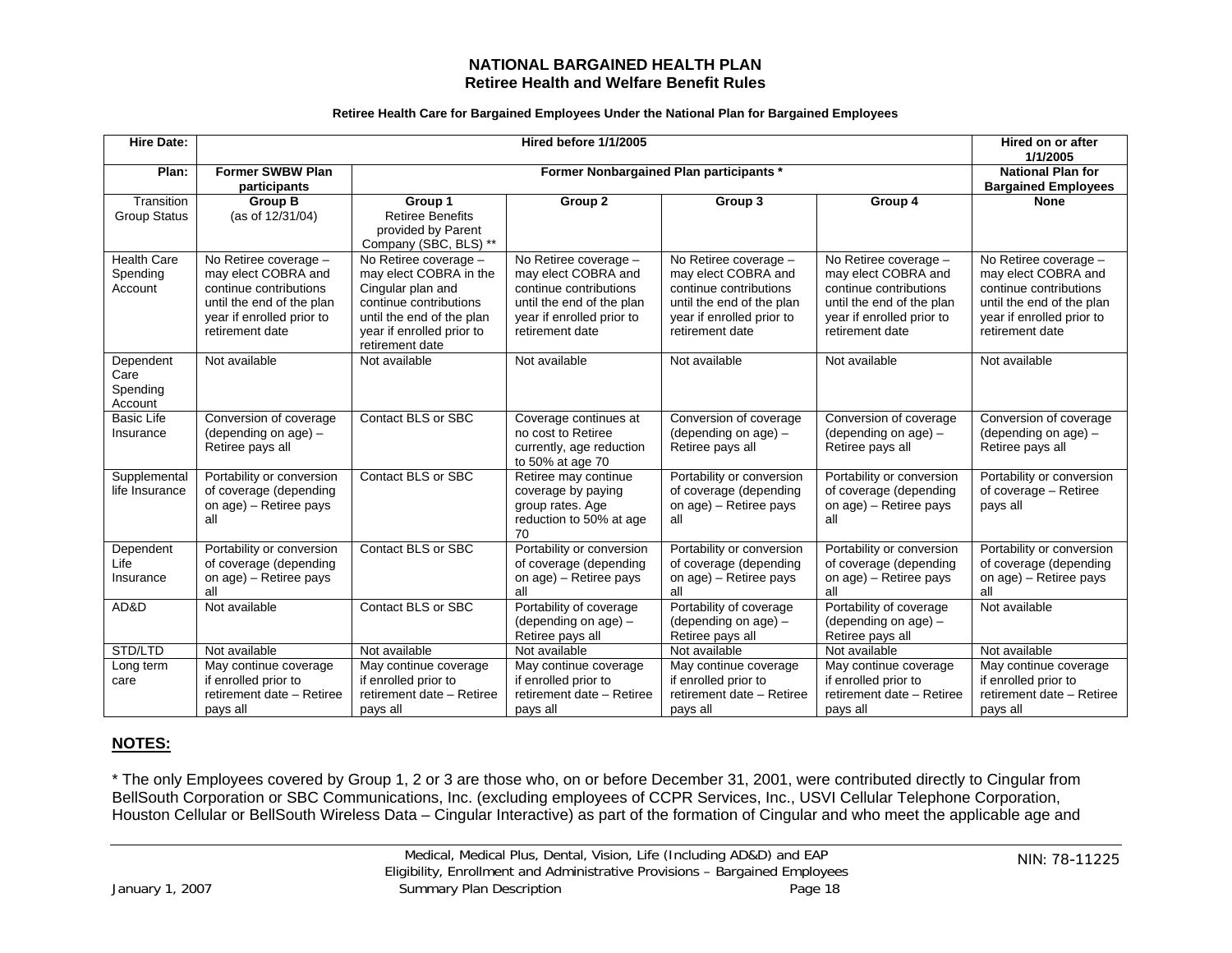#### **NATIONAL BARGAINED HEALTH PLAN Retiree Health and Welfare Benefit Rules**

#### **Retiree Health Care for Bargained Employees Under the National Plan for Bargained Employees**

| <b>Hire Date:</b>                         | Hired before 1/1/2005                                                                                                                               |                                                                                                                                                                             |                                                                                                                                                     | Hired on or after<br>1/1/2005                                                                                                                       |                                                                                                                                                     |                                                                                                                                                     |
|-------------------------------------------|-----------------------------------------------------------------------------------------------------------------------------------------------------|-----------------------------------------------------------------------------------------------------------------------------------------------------------------------------|-----------------------------------------------------------------------------------------------------------------------------------------------------|-----------------------------------------------------------------------------------------------------------------------------------------------------|-----------------------------------------------------------------------------------------------------------------------------------------------------|-----------------------------------------------------------------------------------------------------------------------------------------------------|
| Plan:                                     | <b>Former SWBW Plan</b><br>participants                                                                                                             | Former Nonbargained Plan participants *                                                                                                                                     |                                                                                                                                                     |                                                                                                                                                     | <b>National Plan for</b><br><b>Bargained Employees</b>                                                                                              |                                                                                                                                                     |
| Transition                                | <b>Group B</b>                                                                                                                                      | Group 1                                                                                                                                                                     | Group 2                                                                                                                                             | Group 3                                                                                                                                             | Group 4                                                                                                                                             | <b>None</b>                                                                                                                                         |
| <b>Group Status</b>                       | (as of 12/31/04)                                                                                                                                    | <b>Retiree Benefits</b><br>provided by Parent<br>Company (SBC, BLS) **                                                                                                      |                                                                                                                                                     |                                                                                                                                                     |                                                                                                                                                     |                                                                                                                                                     |
| <b>Health Care</b><br>Spending<br>Account | No Retiree coverage -<br>may elect COBRA and<br>continue contributions<br>until the end of the plan<br>year if enrolled prior to<br>retirement date | No Retiree coverage -<br>may elect COBRA in the<br>Cingular plan and<br>continue contributions<br>until the end of the plan<br>year if enrolled prior to<br>retirement date | No Retiree coverage -<br>may elect COBRA and<br>continue contributions<br>until the end of the plan<br>year if enrolled prior to<br>retirement date | No Retiree coverage -<br>may elect COBRA and<br>continue contributions<br>until the end of the plan<br>year if enrolled prior to<br>retirement date | No Retiree coverage -<br>may elect COBRA and<br>continue contributions<br>until the end of the plan<br>year if enrolled prior to<br>retirement date | No Retiree coverage -<br>may elect COBRA and<br>continue contributions<br>until the end of the plan<br>year if enrolled prior to<br>retirement date |
| Dependent<br>Care<br>Spending<br>Account  | Not available                                                                                                                                       | Not available                                                                                                                                                               | Not available                                                                                                                                       | Not available                                                                                                                                       | Not available                                                                                                                                       | Not available                                                                                                                                       |
| <b>Basic Life</b><br>Insurance            | Conversion of coverage<br>(depending on age) -<br>Retiree pays all                                                                                  | <b>Contact BLS or SBC</b>                                                                                                                                                   | Coverage continues at<br>no cost to Retiree<br>currently, age reduction<br>to 50% at age 70                                                         | Conversion of coverage<br>(depending on age) -<br>Retiree pays all                                                                                  | Conversion of coverage<br>(depending on $age$ ) -<br>Retiree pays all                                                                               | Conversion of coverage<br>(depending on $age$ ) -<br>Retiree pays all                                                                               |
| Supplemental<br>life Insurance            | Portability or conversion<br>of coverage (depending<br>on age) - Retiree pays<br>all                                                                | <b>Contact BLS or SBC</b>                                                                                                                                                   | Retiree may continue<br>coverage by paying<br>group rates. Age<br>reduction to 50% at age<br>70                                                     | Portability or conversion<br>of coverage (depending<br>on age) - Retiree pays<br>all                                                                | Portability or conversion<br>of coverage (depending<br>on age) - Retiree pays<br>all                                                                | Portability or conversion<br>of coverage - Retiree<br>pays all                                                                                      |
| Dependent<br>Life<br>Insurance            | Portability or conversion<br>of coverage (depending<br>on age) - Retiree pays<br>all                                                                | <b>Contact BLS or SBC</b>                                                                                                                                                   | Portability or conversion<br>of coverage (depending<br>on age) - Retiree pays<br>all                                                                | Portability or conversion<br>of coverage (depending<br>on age) - Retiree pays<br>all                                                                | Portability or conversion<br>of coverage (depending<br>on age) - Retiree pays<br>all                                                                | Portability or conversion<br>of coverage (depending<br>on age) - Retiree pays<br>all                                                                |
| AD&D                                      | Not available                                                                                                                                       | <b>Contact BLS or SBC</b>                                                                                                                                                   | Portability of coverage<br>(depending on $age$ ) -<br>Retiree pays all                                                                              | Portability of coverage<br>(depending on $age$ ) –<br>Retiree pays all                                                                              | Portability of coverage<br>(depending on $age$ ) -<br>Retiree pays all                                                                              | Not available                                                                                                                                       |
| STD/LTD                                   | Not available                                                                                                                                       | Not available                                                                                                                                                               | Not available                                                                                                                                       | Not available                                                                                                                                       | Not available                                                                                                                                       | Not available                                                                                                                                       |
| Long term<br>care                         | May continue coverage<br>if enrolled prior to<br>retirement date - Retiree<br>pays all                                                              | May continue coverage<br>if enrolled prior to<br>retirement date - Retiree<br>pays all                                                                                      | May continue coverage<br>if enrolled prior to<br>retirement date - Retiree<br>pays all                                                              | May continue coverage<br>if enrolled prior to<br>retirement date - Retiree<br>pays all                                                              | May continue coverage<br>if enrolled prior to<br>retirement date - Retiree<br>pays all                                                              | May continue coverage<br>if enrolled prior to<br>retirement date - Retiree<br>pays all                                                              |

#### **NOTES:**

\* The only Employees covered by Group 1, 2 or 3 are those who, on or before December 31, 2001, were contributed directly to Cingular from BellSouth Corporation or SBC Communications, Inc. (excluding employees of CCPR Services, Inc., USVI Cellular Telephone Corporation, Houston Cellular or BellSouth Wireless Data – Cingular Interactive) as part of the formation of Cingular and who meet the applicable age and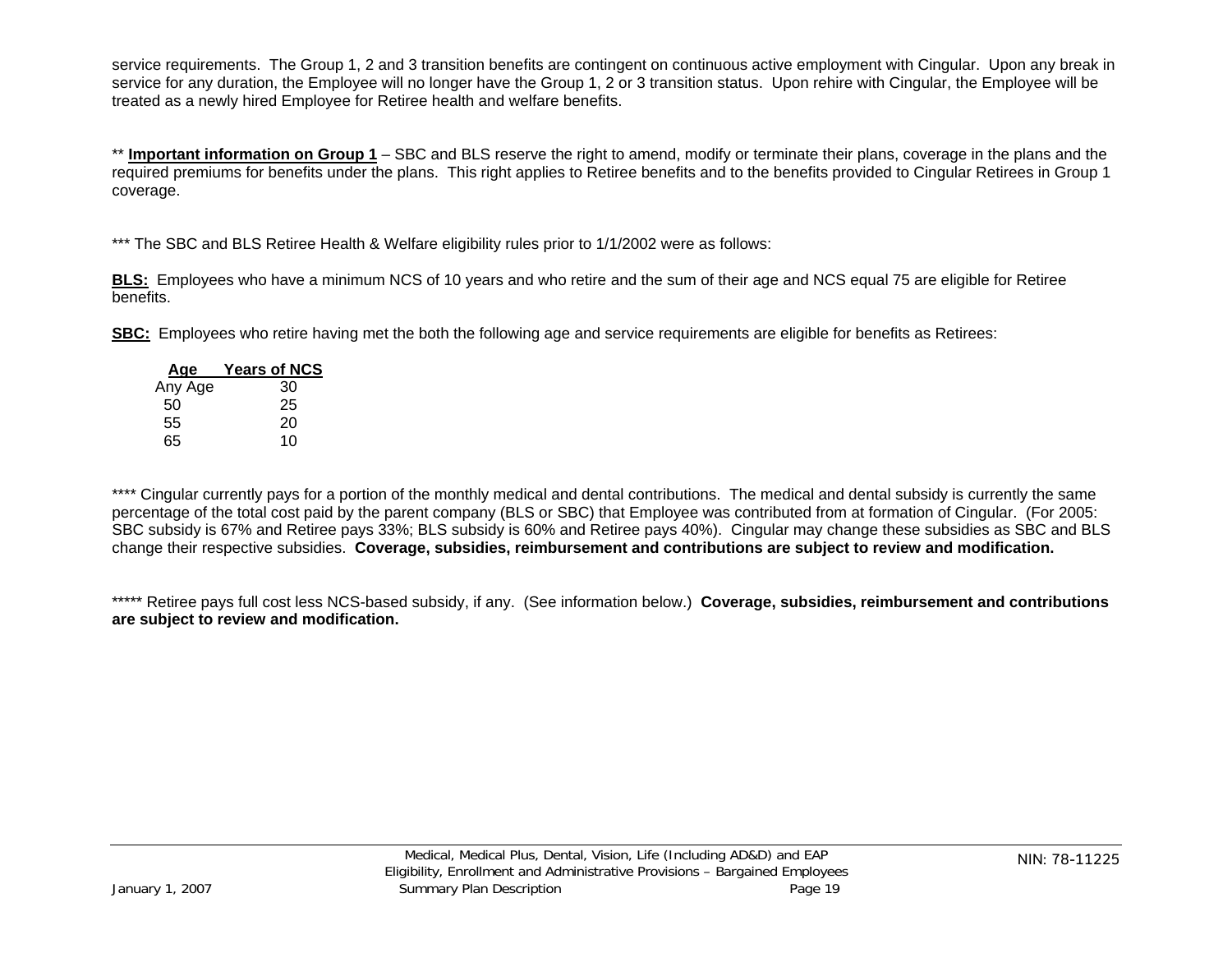service requirements. The Group 1, 2 and 3 transition benefits are contingent on continuous active employment with Cingular. Upon any break in service for any duration, the Employee will no longer have the Group 1, 2 or 3 transition status. Upon rehire with Cingular, the Employee will be treated as a newly hired Employee for Retiree health and welfare benefits.

\*\* **Important information on Group 1** – SBC and BLS reserve the right to amend, modify or terminate their plans, coverage in the plans and the required premiums for benefits under the plans. This right applies to Retiree benefits and to the benefits provided to Cingular Retirees in Group 1 coverage.

\*\*\* The SBC and BLS Retiree Health & Welfare eligibility rules prior to 1/1/2002 were as follows:

**BLS:** Employees who have a minimum NCS of 10 years and who retire and the sum of their age and NCS equal 75 are eligible for Retiree benefits.

**SBC:** Employees who retire having met the both the following age and service requirements are eligible for benefits as Retirees:

| Age     | <b>Years of NCS</b> |
|---------|---------------------|
| Any Age | 30                  |
| 50      | 25                  |
| 55      | 20                  |
| 65      | 10                  |

\*\*\*\* Cingular currently pays for a portion of the monthly medical and dental contributions. The medical and dental subsidy is currently the same percentage of the total cost paid by the parent company (BLS or SBC) that Employee was contributed from at formation of Cingular. (For 2005: SBC subsidy is 67% and Retiree pays 33%; BLS subsidy is 60% and Retiree pays 40%). Cingular may change these subsidies as SBC and BLS change their respective subsidies. **Coverage, subsidies, reimbursement and contributions are subject to review and modification.**

\*\*\*\*\* Retiree pays full cost less NCS-based subsidy, if any. (See information below.) **Coverage, subsidies, reimbursement and contributions are subject to review and modification.**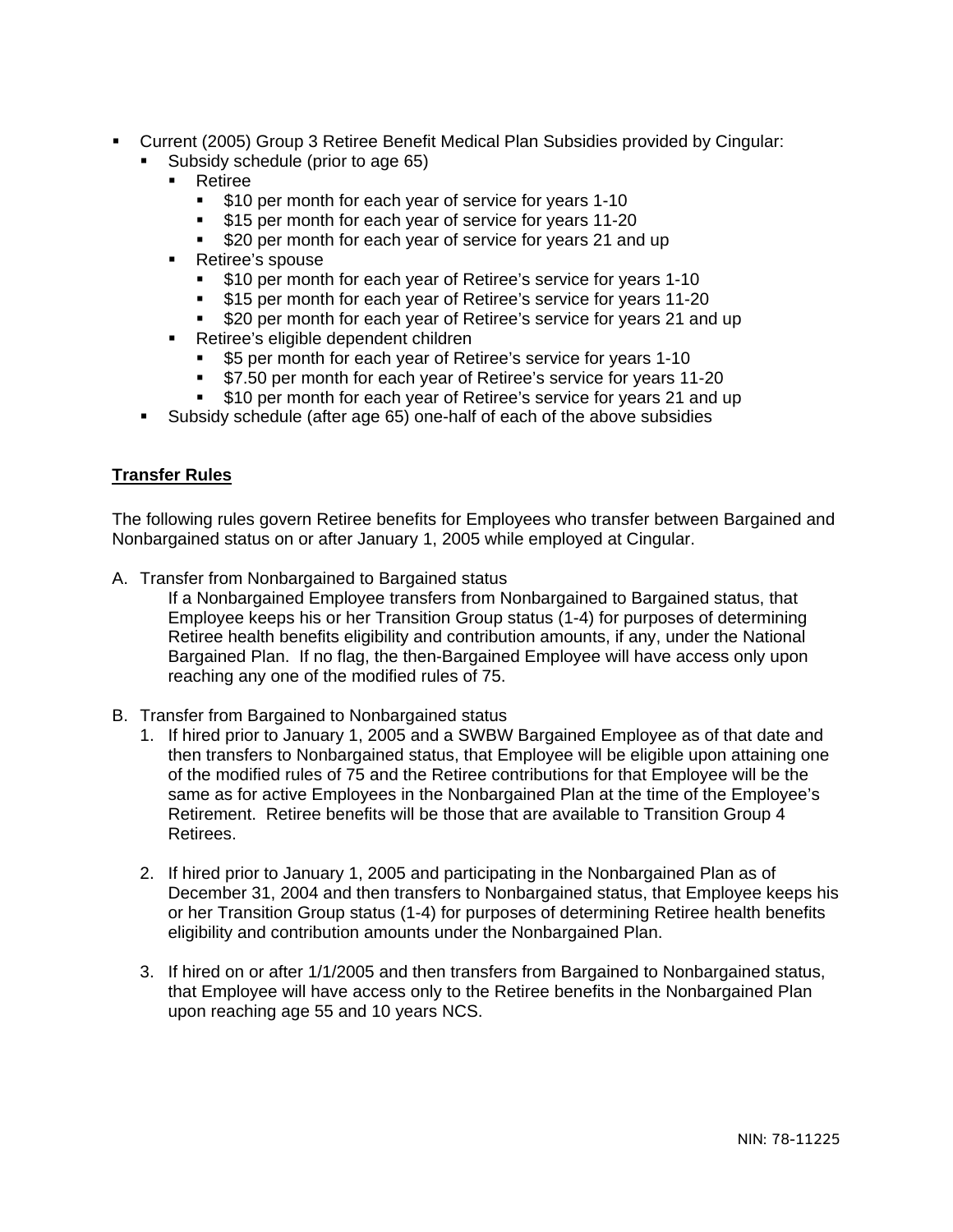- <span id="page-19-0"></span> Current (2005) Group 3 Retiree Benefit Medical Plan Subsidies provided by Cingular:
	- Subsidy schedule (prior to age 65)
		- **Retiree** 
			- **510 per month for each year of service for years 1-10**
			- **515 per month for each year of service for years 11-20**
			- \$20 per month for each year of service for years 21 and up
		- **Retiree's spouse** 
			- **510 per month for each year of Retiree's service for years 1-10**
			- \$15 per month for each year of Retiree's service for years 11-20
			- \$20 per month for each year of Retiree's service for years 21 and up
		- **Retiree's eligible dependent children** 
			- \$5 per month for each year of Retiree's service for years 1-10
			- **57.50 per month for each year of Retiree's service for years 11-20**
			- \$10 per month for each year of Retiree's service for years 21 and up
	- Subsidy schedule (after age 65) one-half of each of the above subsidies

#### **Transfer Rules**

The following rules govern Retiree benefits for Employees who transfer between Bargained and Nonbargained status on or after January 1, 2005 while employed at Cingular.

A. Transfer from Nonbargained to Bargained status

If a Nonbargained Employee transfers from Nonbargained to Bargained status, that Employee keeps his or her Transition Group status (1-4) for purposes of determining Retiree health benefits eligibility and contribution amounts, if any, under the National Bargained Plan. If no flag, the then-Bargained Employee will have access only upon reaching any one of the modified rules of 75.

- B. Transfer from Bargained to Nonbargained status
	- 1. If hired prior to January 1, 2005 and a SWBW Bargained Employee as of that date and then transfers to Nonbargained status, that Employee will be eligible upon attaining one of the modified rules of 75 and the Retiree contributions for that Employee will be the same as for active Employees in the Nonbargained Plan at the time of the Employee's Retirement. Retiree benefits will be those that are available to Transition Group 4 Retirees.
	- 2. If hired prior to January 1, 2005 and participating in the Nonbargained Plan as of December 31, 2004 and then transfers to Nonbargained status, that Employee keeps his or her Transition Group status (1-4) for purposes of determining Retiree health benefits eligibility and contribution amounts under the Nonbargained Plan.
	- 3. If hired on or after 1/1/2005 and then transfers from Bargained to Nonbargained status, that Employee will have access only to the Retiree benefits in the Nonbargained Plan upon reaching age 55 and 10 years NCS.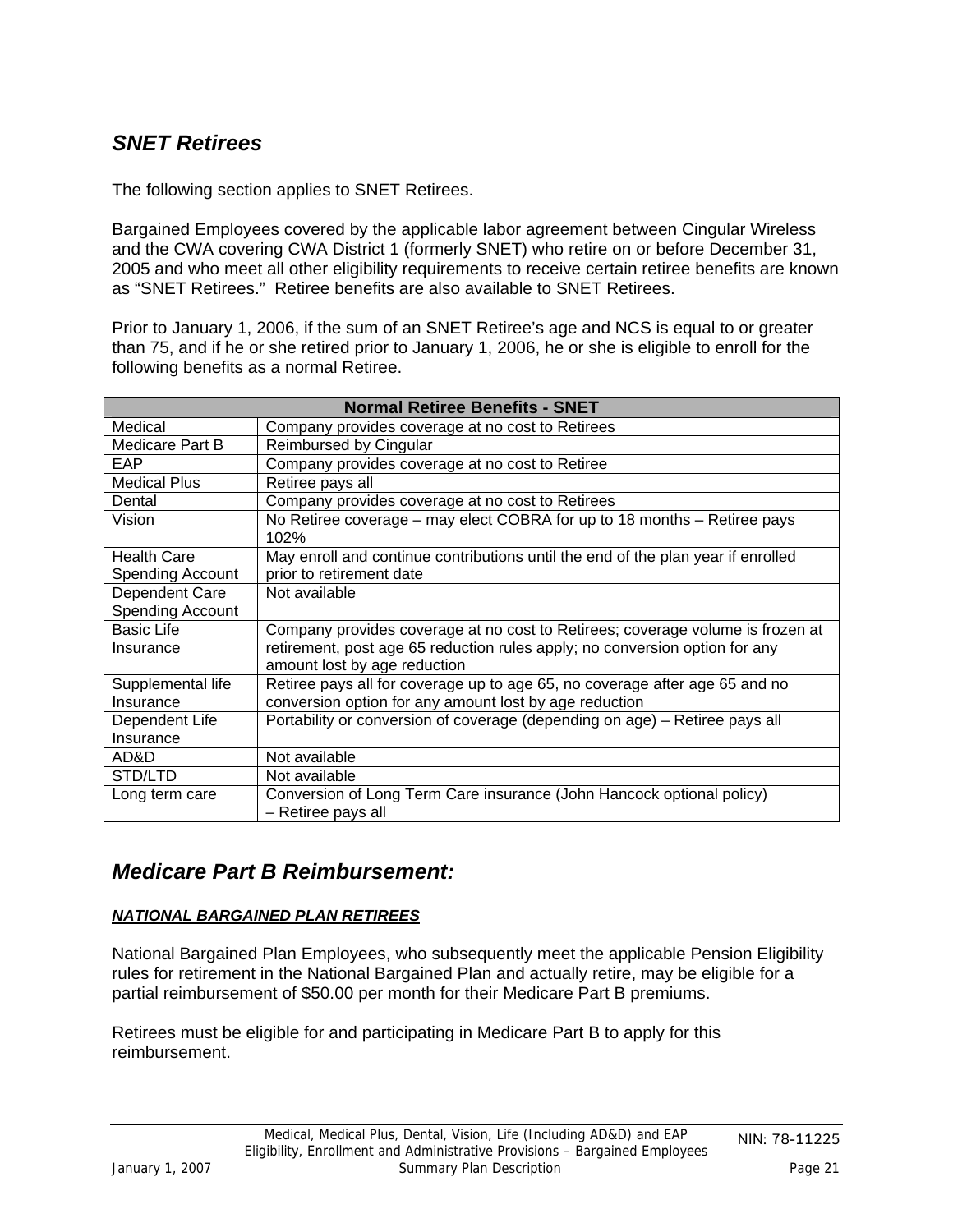## <span id="page-20-0"></span>*SNET Retirees*

The following section applies to SNET Retirees.

Bargained Employees covered by the applicable labor agreement between Cingular Wireless and the CWA covering CWA District 1 (formerly SNET) who retire on or before December 31, 2005 and who meet all other eligibility requirements to receive certain retiree benefits are known as "SNET Retirees." Retiree benefits are also available to SNET Retirees.

Prior to January 1, 2006, if the sum of an SNET Retiree's age and NCS is equal to or greater than 75, and if he or she retired prior to January 1, 2006, he or she is eligible to enroll for the following benefits as a normal Retiree.

| <b>Normal Retiree Benefits - SNET</b> |                                                                                  |  |  |
|---------------------------------------|----------------------------------------------------------------------------------|--|--|
| Medical                               | Company provides coverage at no cost to Retirees                                 |  |  |
| Medicare Part B                       | Reimbursed by Cingular                                                           |  |  |
| <b>EAP</b>                            | Company provides coverage at no cost to Retiree                                  |  |  |
| <b>Medical Plus</b>                   | Retiree pays all                                                                 |  |  |
| Dental                                | Company provides coverage at no cost to Retirees                                 |  |  |
| Vision                                | No Retiree coverage – may elect COBRA for up to 18 months – Retiree pays<br>102% |  |  |
| <b>Health Care</b>                    | May enroll and continue contributions until the end of the plan year if enrolled |  |  |
| <b>Spending Account</b>               | prior to retirement date                                                         |  |  |
| Dependent Care                        | Not available                                                                    |  |  |
| <b>Spending Account</b>               |                                                                                  |  |  |
| <b>Basic Life</b>                     | Company provides coverage at no cost to Retirees; coverage volume is frozen at   |  |  |
| Insurance                             | retirement, post age 65 reduction rules apply; no conversion option for any      |  |  |
|                                       | amount lost by age reduction                                                     |  |  |
| Supplemental life                     | Retiree pays all for coverage up to age 65, no coverage after age 65 and no      |  |  |
| Insurance                             | conversion option for any amount lost by age reduction                           |  |  |
| Dependent Life                        | Portability or conversion of coverage (depending on age) - Retiree pays all      |  |  |
| Insurance                             |                                                                                  |  |  |
| AD&D                                  | Not available                                                                    |  |  |
| STD/LTD                               | Not available                                                                    |  |  |
| Long term care                        | Conversion of Long Term Care insurance (John Hancock optional policy)            |  |  |
|                                       | - Retiree pays all                                                               |  |  |

### *Medicare Part B Reimbursement:*

### *NATIONAL BARGAINED PLAN RETIREES*

National Bargained Plan Employees, who subsequently meet the applicable Pension Eligibility rules for retirement in the National Bargained Plan and actually retire, may be eligible for a partial reimbursement of \$50.00 per month for their Medicare Part B premiums.

Retirees must be eligible for and participating in Medicare Part B to apply for this reimbursement.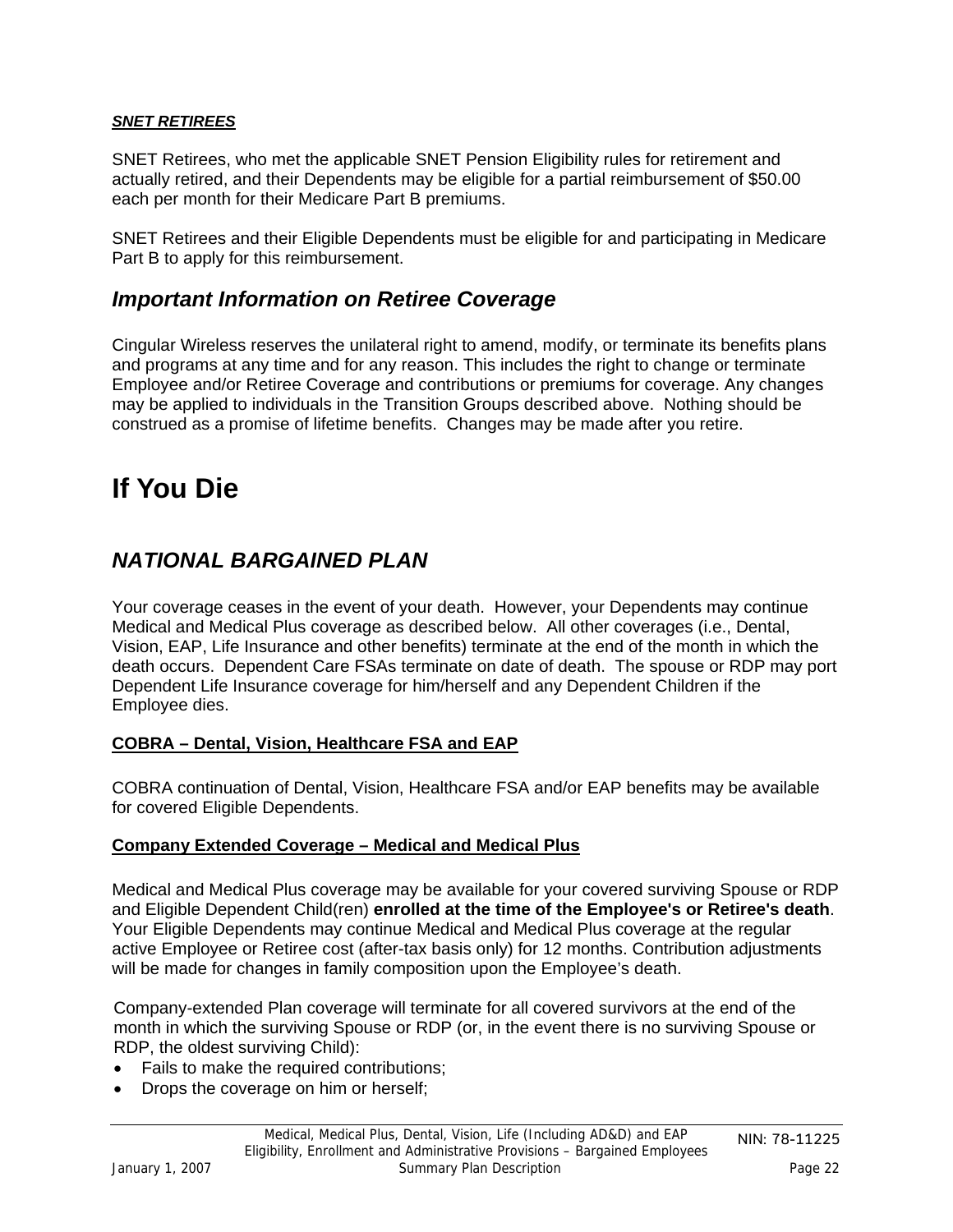### <span id="page-21-0"></span>*SNET RETIREES*

SNET Retirees, who met the applicable SNET Pension Eligibility rules for retirement and actually retired, and their Dependents may be eligible for a partial reimbursement of \$50.00 each per month for their Medicare Part B premiums.

SNET Retirees and their Eligible Dependents must be eligible for and participating in Medicare Part B to apply for this reimbursement.

### *Important Information on Retiree Coverage*

Cingular Wireless reserves the unilateral right to amend, modify, or terminate its benefits plans and programs at any time and for any reason. This includes the right to change or terminate Employee and/or Retiree Coverage and contributions or premiums for coverage. Any changes may be applied to individuals in the Transition Groups described above. Nothing should be construed as a promise of lifetime benefits. Changes may be made after you retire.

## **If You Die**

## *NATIONAL BARGAINED PLAN*

Your coverage ceases in the event of your death. However, your Dependents may continue Medical and Medical Plus coverage as described below. All other coverages (i.e., Dental, Vision, EAP, Life Insurance and other benefits) terminate at the end of the month in which the death occurs. Dependent Care FSAs terminate on date of death. The spouse or RDP may port Dependent Life Insurance coverage for him/herself and any Dependent Children if the Employee dies.

#### **COBRA – Dental, Vision, Healthcare FSA and EAP**

COBRA continuation of Dental, Vision, Healthcare FSA and/or EAP benefits may be available for covered Eligible Dependents.

#### **Company Extended Coverage – Medical and Medical Plus**

Medical and Medical Plus coverage may be available for your covered surviving Spouse or RDP and Eligible Dependent Child(ren) **enrolled at the time of the Employee's or Retiree's death**. Your Eligible Dependents may continue Medical and Medical Plus coverage at the regular active Employee or Retiree cost (after-tax basis only) for 12 months. Contribution adjustments will be made for changes in family composition upon the Employee's death.

Company-extended Plan coverage will terminate for all covered survivors at the end of the month in which the surviving Spouse or RDP (or, in the event there is no surviving Spouse or RDP, the oldest surviving Child):

- Fails to make the required contributions;
- Drops the coverage on him or herself;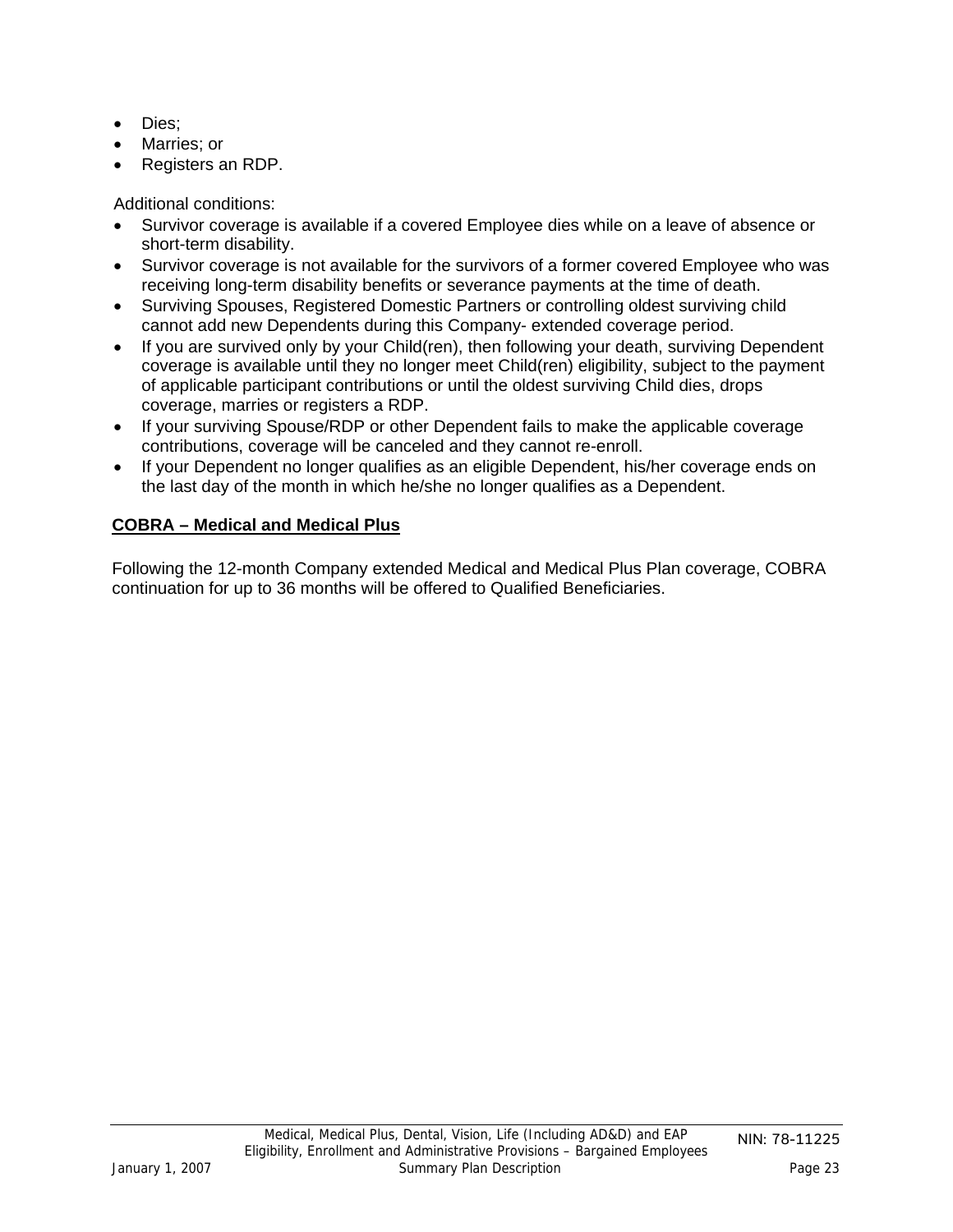- <span id="page-22-0"></span>• Dies;
- Marries; or
- Registers an RDP.

Additional conditions:

- Survivor coverage is available if a covered Employee dies while on a leave of absence or short-term disability.
- Survivor coverage is not available for the survivors of a former covered Employee who was receiving long-term disability benefits or severance payments at the time of death.
- Surviving Spouses, Registered Domestic Partners or controlling oldest surviving child cannot add new Dependents during this Company- extended coverage period.
- If you are survived only by your Child(ren), then following your death, surviving Dependent coverage is available until they no longer meet Child(ren) eligibility, subject to the payment of applicable participant contributions or until the oldest surviving Child dies, drops coverage, marries or registers a RDP.
- If your surviving Spouse/RDP or other Dependent fails to make the applicable coverage contributions, coverage will be canceled and they cannot re-enroll.
- If your Dependent no longer qualifies as an eligible Dependent, his/her coverage ends on the last day of the month in which he/she no longer qualifies as a Dependent.

### **COBRA – Medical and Medical Plus**

Following the 12-month Company extended Medical and Medical Plus Plan coverage, COBRA continuation for up to 36 months will be offered to Qualified Beneficiaries.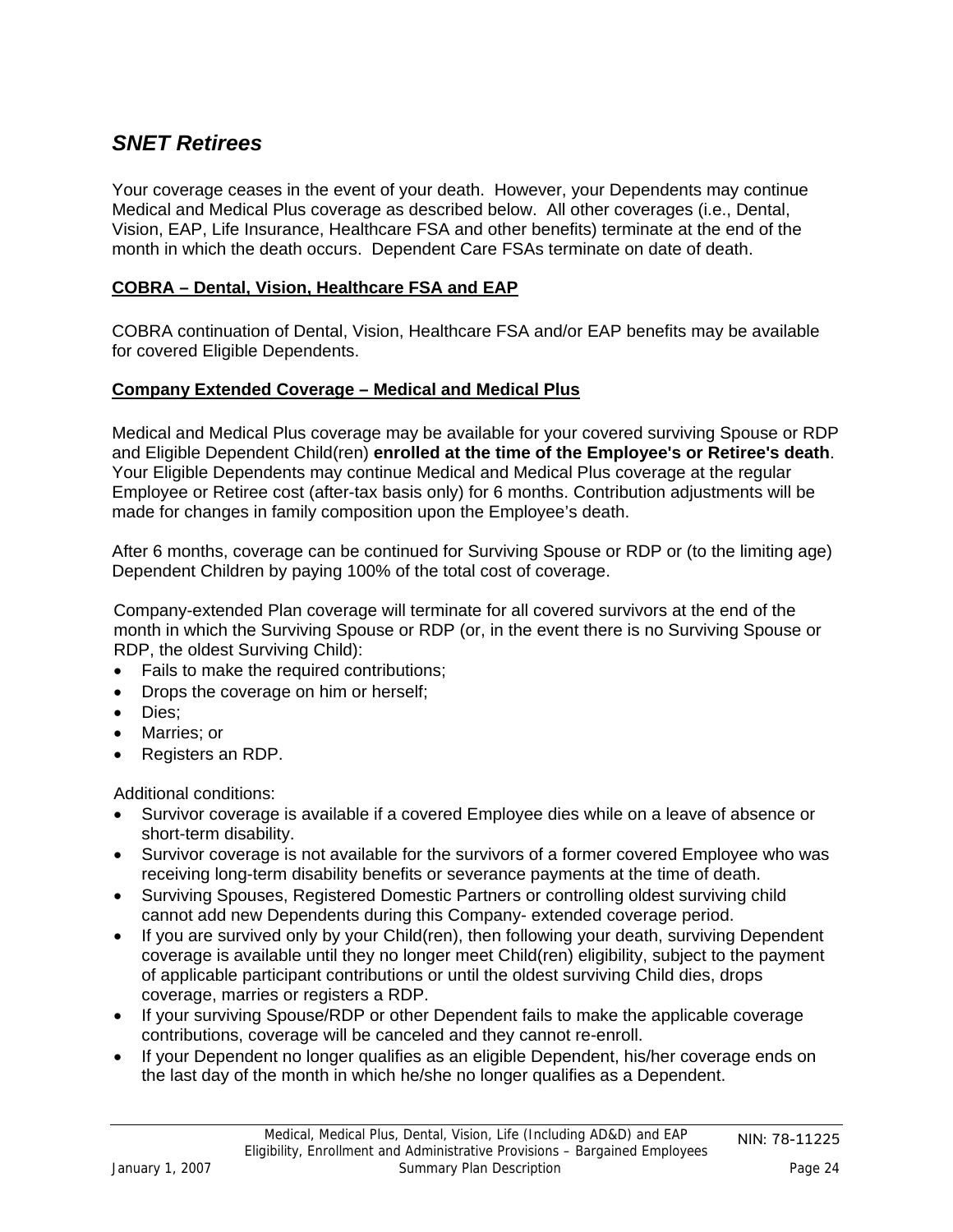## <span id="page-23-0"></span>*SNET Retirees*

Your coverage ceases in the event of your death. However, your Dependents may continue Medical and Medical Plus coverage as described below. All other coverages (i.e., Dental, Vision, EAP, Life Insurance, Healthcare FSA and other benefits) terminate at the end of the month in which the death occurs. Dependent Care FSAs terminate on date of death.

### **COBRA – Dental, Vision, Healthcare FSA and EAP**

COBRA continuation of Dental, Vision, Healthcare FSA and/or EAP benefits may be available for covered Eligible Dependents.

#### **Company Extended Coverage – Medical and Medical Plus**

Medical and Medical Plus coverage may be available for your covered surviving Spouse or RDP and Eligible Dependent Child(ren) **enrolled at the time of the Employee's or Retiree's death**. Your Eligible Dependents may continue Medical and Medical Plus coverage at the regular Employee or Retiree cost (after-tax basis only) for 6 months. Contribution adjustments will be made for changes in family composition upon the Employee's death.

After 6 months, coverage can be continued for Surviving Spouse or RDP or (to the limiting age) Dependent Children by paying 100% of the total cost of coverage.

Company-extended Plan coverage will terminate for all covered survivors at the end of the month in which the Surviving Spouse or RDP (or, in the event there is no Surviving Spouse or RDP, the oldest Surviving Child):

- Fails to make the required contributions;
- Drops the coverage on him or herself;
- Dies;
- Marries; or
- Registers an RDP.

Additional conditions:

- Survivor coverage is available if a covered Employee dies while on a leave of absence or short-term disability.
- Survivor coverage is not available for the survivors of a former covered Employee who was receiving long-term disability benefits or severance payments at the time of death.
- Surviving Spouses, Registered Domestic Partners or controlling oldest surviving child cannot add new Dependents during this Company- extended coverage period.
- If you are survived only by your Child(ren), then following your death, surviving Dependent coverage is available until they no longer meet Child(ren) eligibility, subject to the payment of applicable participant contributions or until the oldest surviving Child dies, drops coverage, marries or registers a RDP.
- If your surviving Spouse/RDP or other Dependent fails to make the applicable coverage contributions, coverage will be canceled and they cannot re-enroll.
- If your Dependent no longer qualifies as an eligible Dependent, his/her coverage ends on the last day of the month in which he/she no longer qualifies as a Dependent.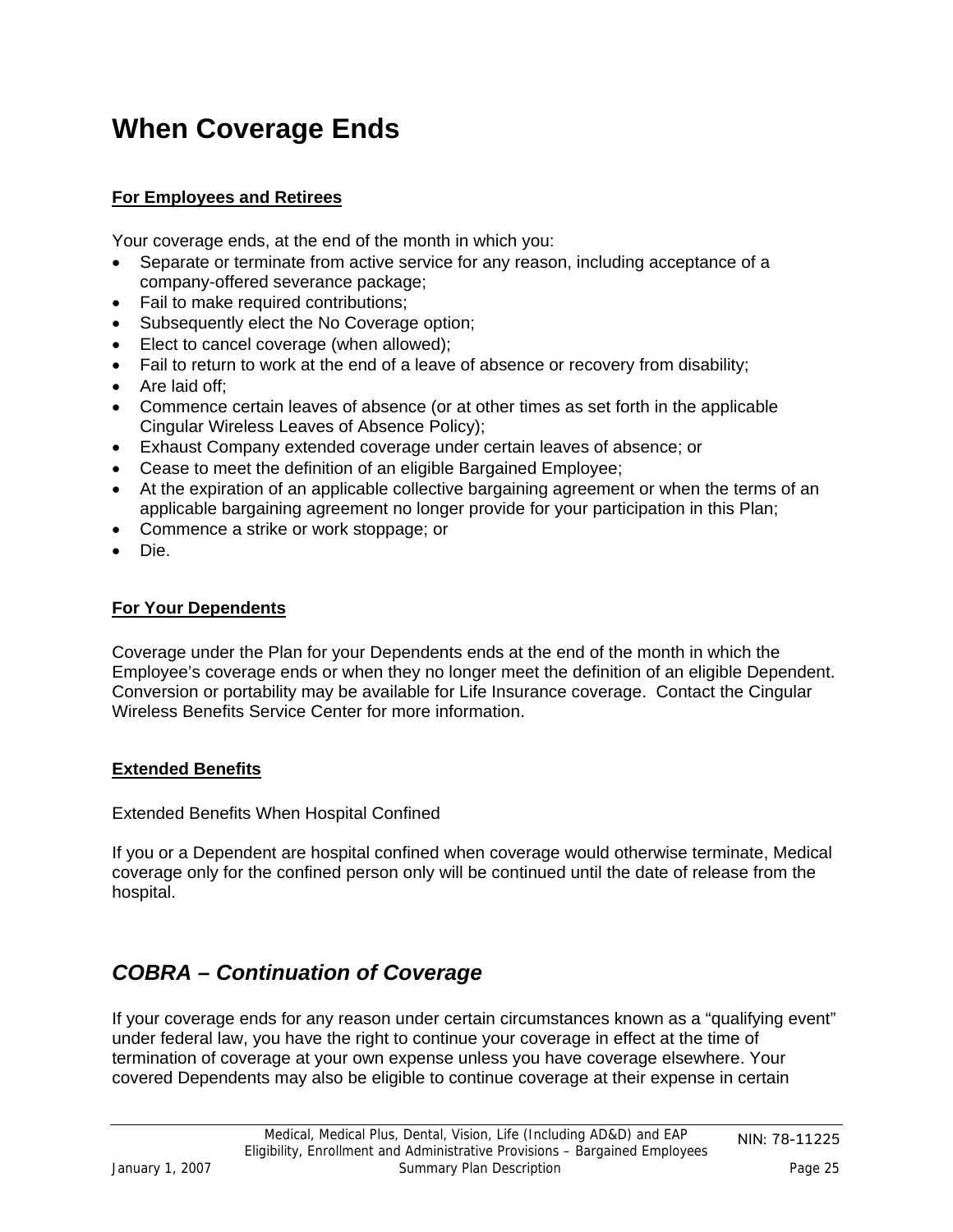## <span id="page-24-0"></span>**When Coverage Ends**

### **For Employees and Retirees**

Your coverage ends, at the end of the month in which you:

- Separate or terminate from active service for any reason, including acceptance of a company-offered severance package;
- Fail to make required contributions;
- Subsequently elect the No Coverage option;
- Elect to cancel coverage (when allowed);
- Fail to return to work at the end of a leave of absence or recovery from disability;
- Are laid off;
- Commence certain leaves of absence (or at other times as set forth in the applicable Cingular Wireless Leaves of Absence Policy);
- Exhaust Company extended coverage under certain leaves of absence; or
- Cease to meet the definition of an eligible Bargained Employee;
- At the expiration of an applicable collective bargaining agreement or when the terms of an applicable bargaining agreement no longer provide for your participation in this Plan;
- Commence a strike or work stoppage; or
- Die.

### **For Your Dependents**

Coverage under the Plan for your Dependents ends at the end of the month in which the Employee's coverage ends or when they no longer meet the definition of an eligible Dependent. Conversion or portability may be available for Life Insurance coverage. Contact the Cingular Wireless Benefits Service Center for more information.

### **Extended Benefits**

Extended Benefits When Hospital Confined

If you or a Dependent are hospital confined when coverage would otherwise terminate, Medical coverage only for the confined person only will be continued until the date of release from the hospital.

## *COBRA – Continuation of Coverage*

If your coverage ends for any reason under certain circumstances known as a "qualifying event" under federal law, you have the right to continue your coverage in effect at the time of termination of coverage at your own expense unless you have coverage elsewhere. Your covered Dependents may also be eligible to continue coverage at their expense in certain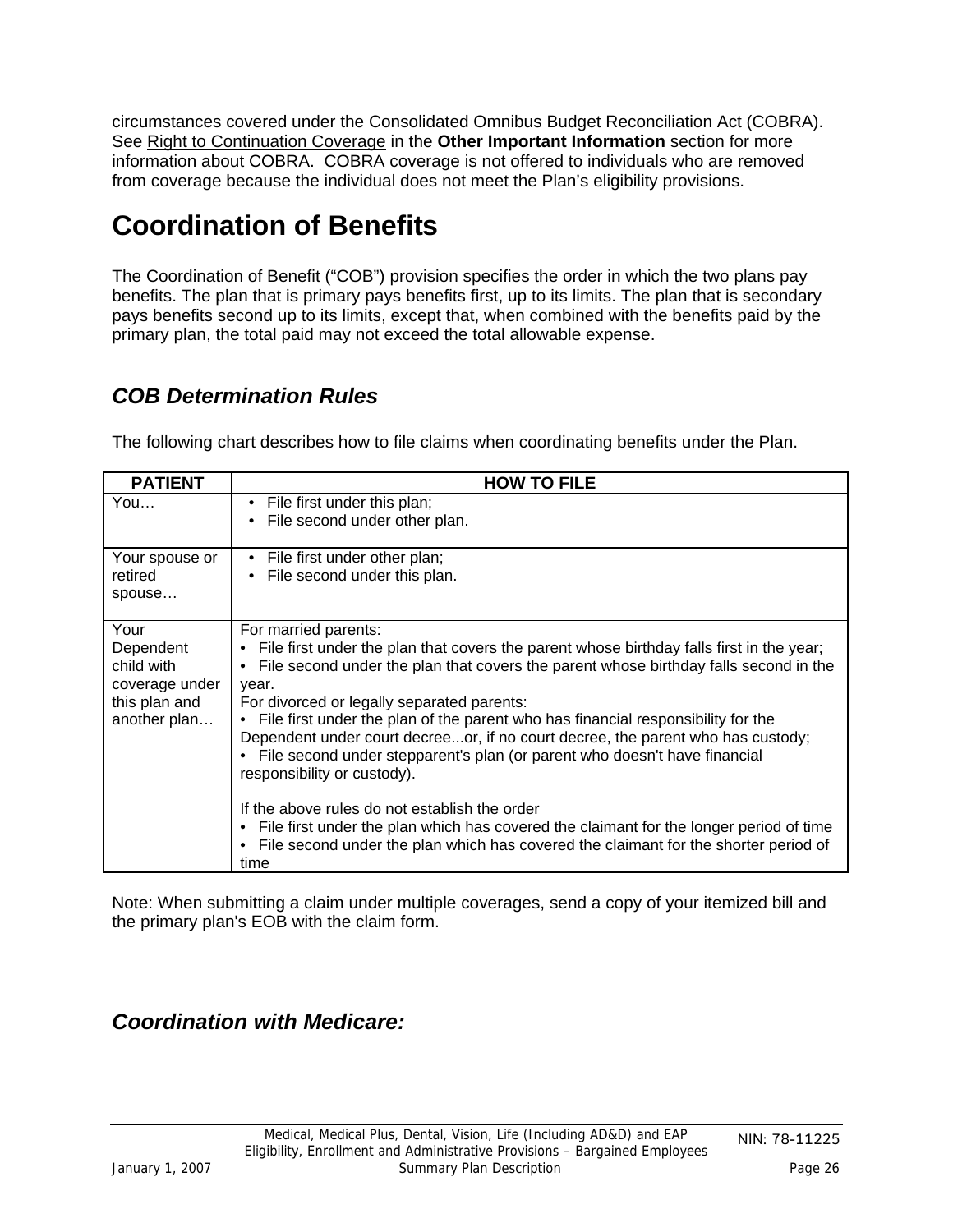<span id="page-25-0"></span>circumstances covered under the Consolidated Omnibus Budget Reconciliation Act (COBRA). See Right to Continuation Coverage in the **Other Important Information** section for more information about COBRA. COBRA coverage is not offered to individuals who are removed from coverage because the individual does not meet the Plan's eligibility provisions.

# **Coordination of Benefits**

The Coordination of Benefit ("COB") provision specifies the order in which the two plans pay benefits. The plan that is primary pays benefits first, up to its limits. The plan that is secondary pays benefits second up to its limits, except that, when combined with the benefits paid by the primary plan, the total paid may not exceed the total allowable expense.

## *COB Determination Rules*

The following chart describes how to file claims when coordinating benefits under the Plan.

| <b>PATIENT</b>                                                                     | <b>HOW TO FILE</b>                                                                                                                                                                                                                                                                                                                                                                                                                                                                                                                                                                                                                                                                                                                                                                                              |
|------------------------------------------------------------------------------------|-----------------------------------------------------------------------------------------------------------------------------------------------------------------------------------------------------------------------------------------------------------------------------------------------------------------------------------------------------------------------------------------------------------------------------------------------------------------------------------------------------------------------------------------------------------------------------------------------------------------------------------------------------------------------------------------------------------------------------------------------------------------------------------------------------------------|
| You                                                                                | • File first under this plan;<br>File second under other plan.                                                                                                                                                                                                                                                                                                                                                                                                                                                                                                                                                                                                                                                                                                                                                  |
| Your spouse or<br>retired<br>spouse                                                | • File first under other plan;<br>• File second under this plan.                                                                                                                                                                                                                                                                                                                                                                                                                                                                                                                                                                                                                                                                                                                                                |
| Your<br>Dependent<br>child with<br>coverage under<br>this plan and<br>another plan | For married parents:<br>File first under the plan that covers the parent whose birthday falls first in the year;<br>File second under the plan that covers the parent whose birthday falls second in the<br>year.<br>For divorced or legally separated parents:<br>• File first under the plan of the parent who has financial responsibility for the<br>Dependent under court decreeor, if no court decree, the parent who has custody;<br>• File second under stepparent's plan (or parent who doesn't have financial<br>responsibility or custody).<br>If the above rules do not establish the order<br>• File first under the plan which has covered the claimant for the longer period of time<br>File second under the plan which has covered the claimant for the shorter period of<br>$\bullet$<br>time |

Note: When submitting a claim under multiple coverages, send a copy of your itemized bill and the primary plan's EOB with the claim form.

*Coordination with Medicare:*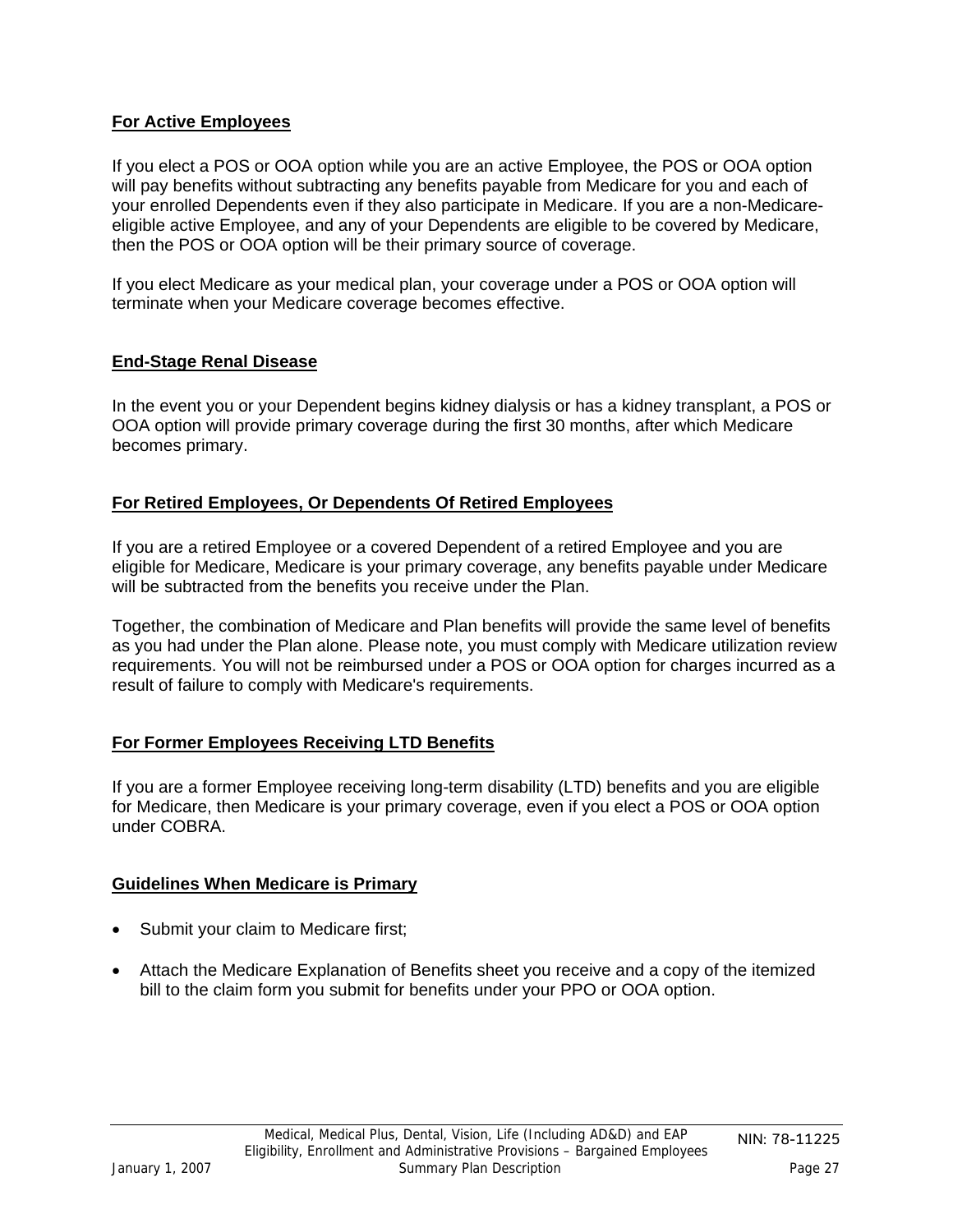### <span id="page-26-0"></span>**For Active Employees**

If you elect a POS or OOA option while you are an active Employee, the POS or OOA option will pay benefits without subtracting any benefits payable from Medicare for you and each of your enrolled Dependents even if they also participate in Medicare. If you are a non-Medicareeligible active Employee, and any of your Dependents are eligible to be covered by Medicare, then the POS or OOA option will be their primary source of coverage.

If you elect Medicare as your medical plan, your coverage under a POS or OOA option will terminate when your Medicare coverage becomes effective.

#### **End-Stage Renal Disease**

In the event you or your Dependent begins kidney dialysis or has a kidney transplant, a POS or OOA option will provide primary coverage during the first 30 months, after which Medicare becomes primary.

#### **For Retired Employees, Or Dependents Of Retired Employees**

If you are a retired Employee or a covered Dependent of a retired Employee and you are eligible for Medicare, Medicare is your primary coverage, any benefits payable under Medicare will be subtracted from the benefits you receive under the Plan.

Together, the combination of Medicare and Plan benefits will provide the same level of benefits as you had under the Plan alone. Please note, you must comply with Medicare utilization review requirements. You will not be reimbursed under a POS or OOA option for charges incurred as a result of failure to comply with Medicare's requirements.

### **For Former Employees Receiving LTD Benefits**

If you are a former Employee receiving long-term disability (LTD) benefits and you are eligible for Medicare, then Medicare is your primary coverage, even if you elect a POS or OOA option under COBRA.

#### **Guidelines When Medicare is Primary**

- Submit your claim to Medicare first;
- Attach the Medicare Explanation of Benefits sheet you receive and a copy of the itemized bill to the claim form you submit for benefits under your PPO or OOA option.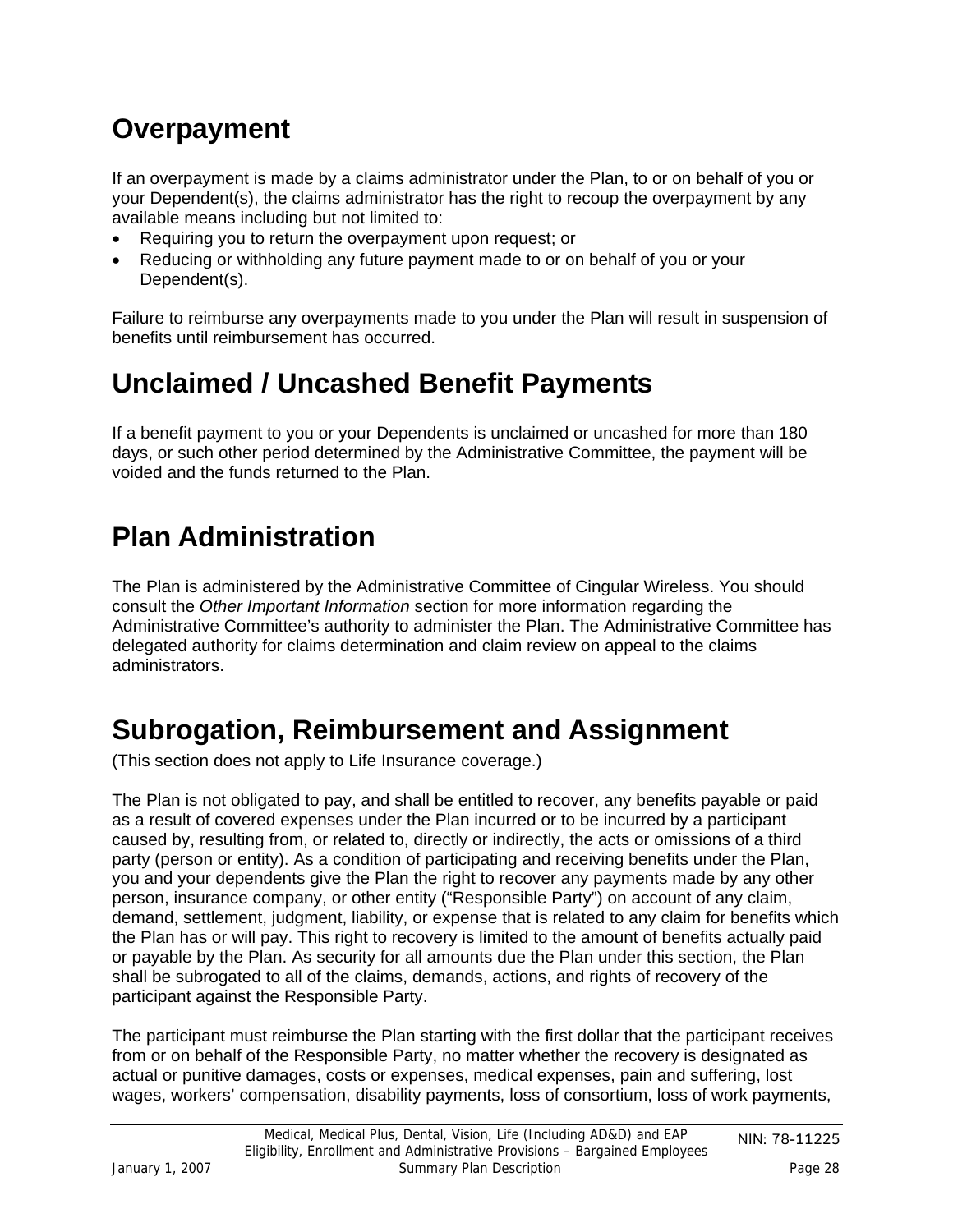# <span id="page-27-0"></span>**Overpayment**

If an overpayment is made by a claims administrator under the Plan, to or on behalf of you or your Dependent(s), the claims administrator has the right to recoup the overpayment by any available means including but not limited to:

- Requiring you to return the overpayment upon request; or
- Reducing or withholding any future payment made to or on behalf of you or your Dependent(s).

Failure to reimburse any overpayments made to you under the Plan will result in suspension of benefits until reimbursement has occurred.

# **Unclaimed / Uncashed Benefit Payments**

If a benefit payment to you or your Dependents is unclaimed or uncashed for more than 180 days, or such other period determined by the Administrative Committee, the payment will be voided and the funds returned to the Plan.

# **Plan Administration**

The Plan is administered by the Administrative Committee of Cingular Wireless. You should consult the *Other Important Information* section for more information regarding the Administrative Committee's authority to administer the Plan. The Administrative Committee has delegated authority for claims determination and claim review on appeal to the claims administrators.

# **Subrogation, Reimbursement and Assignment**

(This section does not apply to Life Insurance coverage.)

The Plan is not obligated to pay, and shall be entitled to recover, any benefits payable or paid as a result of covered expenses under the Plan incurred or to be incurred by a participant caused by, resulting from, or related to, directly or indirectly, the acts or omissions of a third party (person or entity). As a condition of participating and receiving benefits under the Plan, you and your dependents give the Plan the right to recover any payments made by any other person, insurance company, or other entity ("Responsible Party") on account of any claim, demand, settlement, judgment, liability, or expense that is related to any claim for benefits which the Plan has or will pay. This right to recovery is limited to the amount of benefits actually paid or payable by the Plan. As security for all amounts due the Plan under this section, the Plan shall be subrogated to all of the claims, demands, actions, and rights of recovery of the participant against the Responsible Party.

The participant must reimburse the Plan starting with the first dollar that the participant receives from or on behalf of the Responsible Party, no matter whether the recovery is designated as actual or punitive damages, costs or expenses, medical expenses, pain and suffering, lost wages, workers' compensation, disability payments, loss of consortium, loss of work payments,